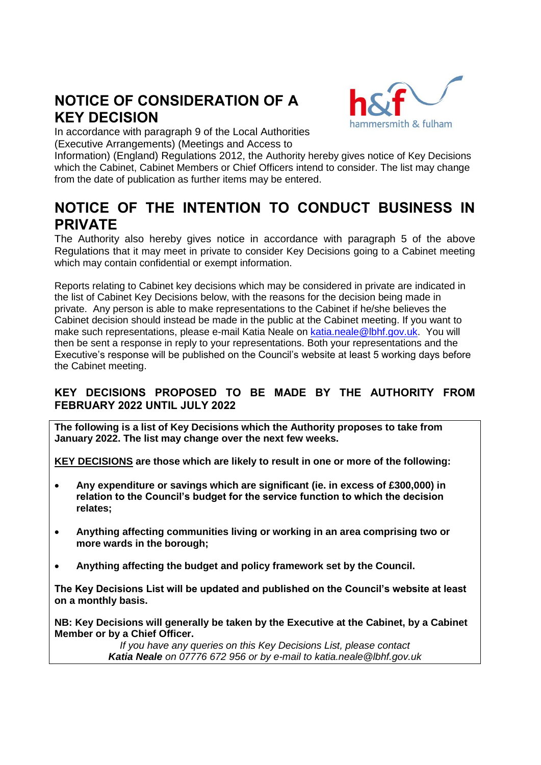# **NOTICE OF CONSIDERATION OF A KEY DECISION**



In accordance with paragraph 9 of the Local Authorities (Executive Arrangements) (Meetings and Access to

Information) (England) Regulations 2012, the Authority hereby gives notice of Key Decisions which the Cabinet, Cabinet Members or Chief Officers intend to consider. The list may change from the date of publication as further items may be entered.

## **NOTICE OF THE INTENTION TO CONDUCT BUSINESS IN PRIVATE**

The Authority also hereby gives notice in accordance with paragraph 5 of the above Regulations that it may meet in private to consider Key Decisions going to a Cabinet meeting which may contain confidential or exempt information.

Reports relating to Cabinet key decisions which may be considered in private are indicated in the list of Cabinet Key Decisions below, with the reasons for the decision being made in private. Any person is able to make representations to the Cabinet if he/she believes the Cabinet decision should instead be made in the public at the Cabinet meeting. If you want to make such representations, please e-mail Katia Neale on [katia.neale@lbhf.gov.uk.](mailto:katia.neale@lbhf.gov.uk) You will then be sent a response in reply to your representations. Both your representations and the Executive's response will be published on the Council's website at least 5 working days before the Cabinet meeting.

## **KEY DECISIONS PROPOSED TO BE MADE BY THE AUTHORITY FROM FEBRUARY 2022 UNTIL JULY 2022**

**The following is a list of Key Decisions which the Authority proposes to take from January 2022. The list may change over the next few weeks.** 

**KEY DECISIONS are those which are likely to result in one or more of the following:**

- **Any expenditure or savings which are significant (ie. in excess of £300,000) in relation to the Council's budget for the service function to which the decision relates;**
- **Anything affecting communities living or working in an area comprising two or more wards in the borough;**
- **Anything affecting the budget and policy framework set by the Council.**

**The Key Decisions List will be updated and published on the Council's website at least on a monthly basis.** 

**NB: Key Decisions will generally be taken by the Executive at the Cabinet, by a Cabinet Member or by a Chief Officer.** 

> *If you have any queries on this Key Decisions List, please contact Katia Neale on 07776 672 956 or by e-mail to katia.neale@lbhf.gov.uk*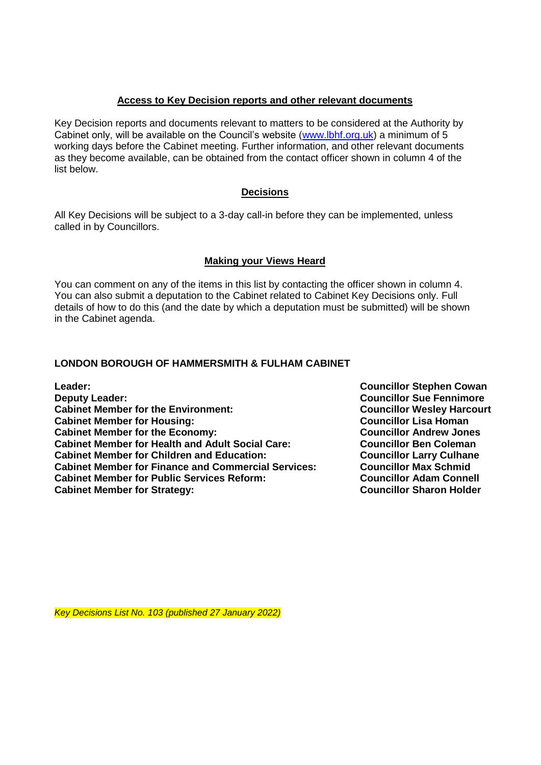#### **Access to Key Decision reports and other relevant documents**

Key Decision reports and documents relevant to matters to be considered at the Authority by Cabinet only, will be available on the Council's website [\(www.lbhf.org.uk\)](http://www.lbhf.org.uk/) a minimum of 5 working days before the Cabinet meeting. Further information, and other relevant documents as they become available, can be obtained from the contact officer shown in column 4 of the list below.

#### **Decisions**

All Key Decisions will be subject to a 3-day call-in before they can be implemented, unless called in by Councillors.

#### **Making your Views Heard**

You can comment on any of the items in this list by contacting the officer shown in column 4. You can also submit a deputation to the Cabinet related to Cabinet Key Decisions only. Full details of how to do this (and the date by which a deputation must be submitted) will be shown in the Cabinet agenda.

#### **LONDON BOROUGH OF HAMMERSMITH & FULHAM CABINET**

**Leader: Councillor Stephen Cowan Deputy Leader:** Councillor Sue Fennimore Cabinet Member for the Environment: Cabinet Member for the Environment: **Cabinet Member for Housing: Councillor Lisa Homan Cabinet Member for the Economy:** Cabinet Member for the Economy:<br>
Cabinet Member for Health and Adult Social Care: Councillor Ben Coleman **Cabinet Member for Health and Adult Social Care: Cabinet Member for Children and Education: Councillor Larry Culhane Cabinet Member for Finance and Commercial Services: Councillor Max Schmid Cabinet Member for Public Services Reform: Councillor Adam Connell** Cabinet Member for Strategy: Cabinet Member for Strategy:

*Key Decisions List No. 103 (published 27 January 2022)*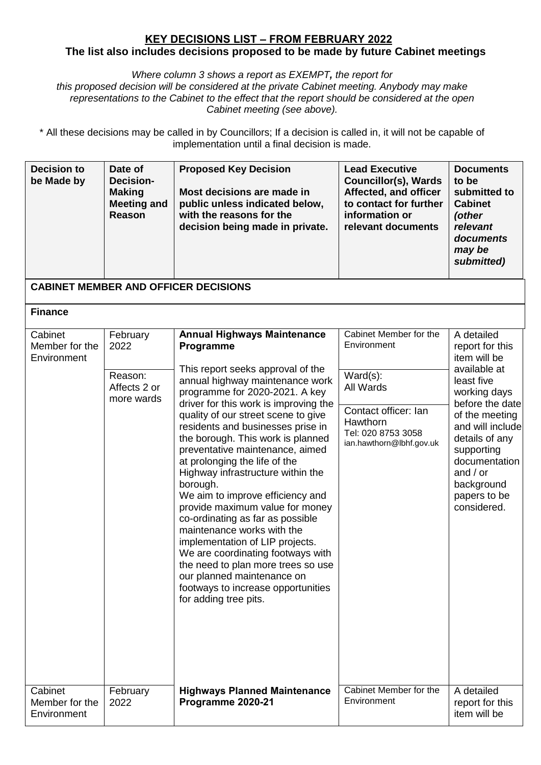### **KEY DECISIONS LIST – FROM FEBRUARY 2022 The list also includes decisions proposed to be made by future Cabinet meetings**

*Where column 3 shows a report as EXEMPT, the report for this proposed decision will be considered at the private Cabinet meeting. Anybody may make* 

*representations to the Cabinet to the effect that the report should be considered at the open Cabinet meeting (see above).* 

\* All these decisions may be called in by Councillors; If a decision is called in, it will not be capable of implementation until a final decision is made.

| <b>Decision to</b><br>be Made by         | Date of<br><b>Decision-</b><br><b>Making</b><br><b>Meeting and</b><br><b>Reason</b> | <b>Proposed Key Decision</b><br>Most decisions are made in<br>public unless indicated below,<br>with the reasons for the<br>decision being made in private.                                                                                                                                                                                                                                                                                                                                                                                                                            | <b>Lead Executive</b><br><b>Councillor(s), Wards</b><br>Affected, and officer<br>to contact for further<br>information or<br>relevant documents | <b>Documents</b><br>to be<br>submitted to<br><b>Cabinet</b><br>(other<br>relevant<br>documents<br>may be<br>submitted)                         |
|------------------------------------------|-------------------------------------------------------------------------------------|----------------------------------------------------------------------------------------------------------------------------------------------------------------------------------------------------------------------------------------------------------------------------------------------------------------------------------------------------------------------------------------------------------------------------------------------------------------------------------------------------------------------------------------------------------------------------------------|-------------------------------------------------------------------------------------------------------------------------------------------------|------------------------------------------------------------------------------------------------------------------------------------------------|
|                                          |                                                                                     | <b>CABINET MEMBER AND OFFICER DECISIONS</b>                                                                                                                                                                                                                                                                                                                                                                                                                                                                                                                                            |                                                                                                                                                 |                                                                                                                                                |
| <b>Finance</b>                           |                                                                                     |                                                                                                                                                                                                                                                                                                                                                                                                                                                                                                                                                                                        |                                                                                                                                                 |                                                                                                                                                |
| Cabinet<br>Member for the<br>Environment | February<br>2022<br>Reason:<br>Affects 2 or<br>more wards                           | <b>Annual Highways Maintenance</b><br>Programme<br>This report seeks approval of the<br>annual highway maintenance work<br>programme for 2020-2021. A key<br>driver for this work is improving the                                                                                                                                                                                                                                                                                                                                                                                     | Cabinet Member for the<br>Environment<br>$\overline{\text{Ward}}(s)$ :<br>All Wards                                                             | A detailed<br>report for this<br>item will be<br>available at<br>least five<br>working days<br>before the date                                 |
|                                          |                                                                                     | quality of our street scene to give<br>residents and businesses prise in<br>the borough. This work is planned<br>preventative maintenance, aimed<br>at prolonging the life of the<br>Highway infrastructure within the<br>borough.<br>We aim to improve efficiency and<br>provide maximum value for money<br>co-ordinating as far as possible<br>maintenance works with the<br>implementation of LIP projects.<br>We are coordinating footways with<br>the need to plan more trees so use<br>our planned maintenance on<br>footways to increase opportunities<br>for adding tree pits. | Contact officer: Ian<br>Hawthorn<br>Tel: 020 8753 3058<br>ian.hawthorn@lbhf.gov.uk                                                              | of the meeting<br>and will include<br>details of any<br>supporting<br>documentation<br>and $/$ or<br>background<br>papers to be<br>considered. |
| Cabinet<br>Member for the<br>Environment | February<br>2022                                                                    | <b>Highways Planned Maintenance</b><br>Programme 2020-21                                                                                                                                                                                                                                                                                                                                                                                                                                                                                                                               | Cabinet Member for the<br>Environment                                                                                                           | A detailed<br>report for this<br>item will be                                                                                                  |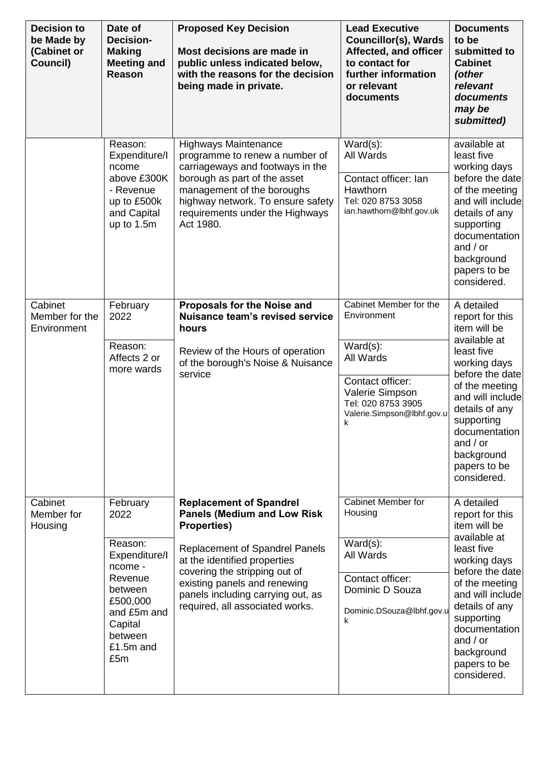| <b>Decision to</b><br>be Made by<br>(Cabinet or<br>Council) | Date of<br>Decision-<br><b>Making</b><br><b>Meeting and</b><br>Reason                                                                              | <b>Proposed Key Decision</b><br>Most decisions are made in<br>public unless indicated below,<br>with the reasons for the decision<br>being made in private.                                                                                                                                           | <b>Lead Executive</b><br><b>Councillor(s), Wards</b><br>Affected, and officer<br>to contact for<br>further information<br>or relevant<br>documents                | <b>Documents</b><br>to be<br>submitted to<br><b>Cabinet</b><br>(other<br>relevant<br>documents<br>may be<br>submitted)                                                                                                                                           |
|-------------------------------------------------------------|----------------------------------------------------------------------------------------------------------------------------------------------------|-------------------------------------------------------------------------------------------------------------------------------------------------------------------------------------------------------------------------------------------------------------------------------------------------------|-------------------------------------------------------------------------------------------------------------------------------------------------------------------|------------------------------------------------------------------------------------------------------------------------------------------------------------------------------------------------------------------------------------------------------------------|
|                                                             | Reason:<br>Expenditure/I<br>ncome<br>above £300K<br>- Revenue<br>up to £500k<br>and Capital<br>up to 1.5m                                          | <b>Highways Maintenance</b><br>programme to renew a number of<br>carriageways and footways in the<br>borough as part of the asset<br>management of the boroughs<br>highway network. To ensure safety<br>requirements under the Highways<br>Act 1980.                                                  | $Ward(s)$ :<br>All Wards<br>Contact officer: Ian<br>Hawthorn<br>Tel: 020 8753 3058<br>ian.hawthorn@lbhf.gov.uk                                                    | available at<br>least five<br>working days<br>before the date<br>of the meeting<br>and will include<br>details of any<br>supporting<br>documentation<br>and $/$ or<br>background<br>papers to be<br>considered.                                                  |
| Cabinet<br>Member for the<br>Environment                    | February<br>2022<br>Reason:<br>Affects 2 or<br>more wards                                                                                          | Proposals for the Noise and<br><b>Nuisance team's revised service</b><br>hours<br>Review of the Hours of operation<br>of the borough's Noise & Nuisance<br>service                                                                                                                                    | Cabinet Member for the<br>Environment<br>$Ward(s)$ :<br>All Wards<br>Contact officer:<br>Valerie Simpson<br>Tel: 020 8753 3905<br>Valerie.Simpson@lbhf.gov.u<br>k | A detailed<br>report for this<br>item will be<br>available at<br>least five<br>working days<br>before the date<br>of the meeting<br>and will include<br>details of any<br>supporting<br>documentation<br>and $/$ or<br>background<br>papers to be<br>considered. |
| Cabinet<br>Member for<br>Housing                            | February<br>2022<br>Reason:<br>Expenditure/I<br>ncome -<br>Revenue<br>between<br>£500,000<br>and £5m and<br>Capital<br>between<br>£1.5m and<br>£5m | <b>Replacement of Spandrel</b><br><b>Panels (Medium and Low Risk</b><br><b>Properties)</b><br>Replacement of Spandrel Panels<br>at the identified properties<br>covering the stripping out of<br>existing panels and renewing<br>panels including carrying out, as<br>required, all associated works. | Cabinet Member for<br>Housing<br>$Ward(s)$ :<br>All Wards<br>Contact officer:<br>Dominic D Souza<br>Dominic.DSouza@lbhf.gov.u<br>k                                | A detailed<br>report for this<br>item will be<br>available at<br>least five<br>working days<br>before the date<br>of the meeting<br>and will include<br>details of any<br>supporting<br>documentation<br>and $/$ or<br>background<br>papers to be<br>considered. |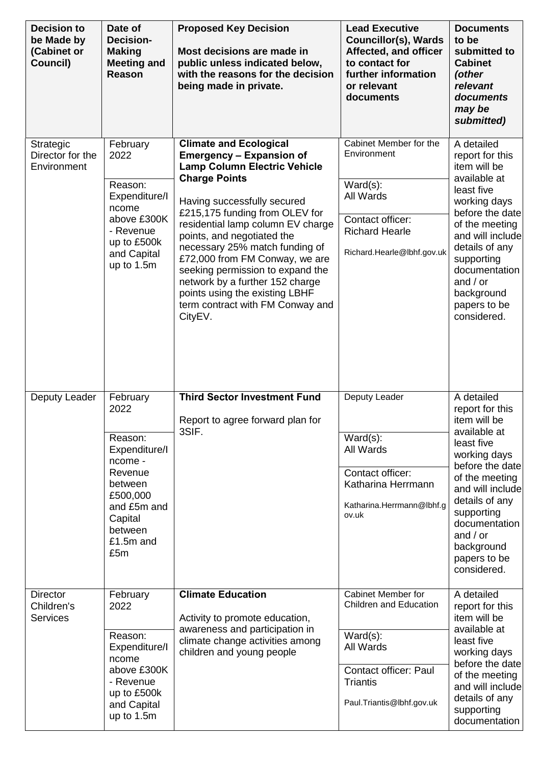| <b>Decision to</b><br>be Made by<br>(Cabinet or<br>Council) | Date of<br><b>Decision-</b><br><b>Making</b><br><b>Meeting and</b><br>Reason                                                                       | <b>Proposed Key Decision</b><br>Most decisions are made in<br>public unless indicated below,<br>with the reasons for the decision<br>being made in private.                                                                                                                                                                                                                                                                                                                                     | <b>Lead Executive</b><br><b>Councillor(s), Wards</b><br>Affected, and officer<br>to contact for<br>further information<br>or relevant<br>documents        | <b>Documents</b><br>to be<br>submitted to<br><b>Cabinet</b><br>(other<br>relevant<br>documents<br>may be<br>submitted)                                                                                                                                           |
|-------------------------------------------------------------|----------------------------------------------------------------------------------------------------------------------------------------------------|-------------------------------------------------------------------------------------------------------------------------------------------------------------------------------------------------------------------------------------------------------------------------------------------------------------------------------------------------------------------------------------------------------------------------------------------------------------------------------------------------|-----------------------------------------------------------------------------------------------------------------------------------------------------------|------------------------------------------------------------------------------------------------------------------------------------------------------------------------------------------------------------------------------------------------------------------|
| Strategic<br>Director for the<br>Environment                | February<br>2022<br>Reason:<br>Expenditure/I<br>ncome<br>above £300K<br>- Revenue<br>up to £500k<br>and Capital<br>up to 1.5m                      | <b>Climate and Ecological</b><br><b>Emergency - Expansion of</b><br><b>Lamp Column Electric Vehicle</b><br><b>Charge Points</b><br>Having successfully secured<br>£215,175 funding from OLEV for<br>residential lamp column EV charge<br>points, and negotiated the<br>necessary 25% match funding of<br>£72,000 from FM Conway, we are<br>seeking permission to expand the<br>network by a further 152 charge<br>points using the existing LBHF<br>term contract with FM Conway and<br>CityEV. | Cabinet Member for the<br>Environment<br>$Ward(s)$ :<br>All Wards<br>Contact officer:<br><b>Richard Hearle</b><br>Richard.Hearle@lbhf.gov.uk              | A detailed<br>report for this<br>item will be<br>available at<br>least five<br>working days<br>before the date<br>of the meeting<br>and will include<br>details of any<br>supporting<br>documentation<br>and $/$ or<br>background<br>papers to be<br>considered. |
| Deputy Leader                                               | February<br>2022<br>Reason:<br>Expenditure/I<br>ncome -<br>Revenue<br>between<br>£500,000<br>and £5m and<br>Capital<br>between<br>£1.5m and<br>£5m | <b>Third Sector Investment Fund</b><br>Report to agree forward plan for<br>3SIF.                                                                                                                                                                                                                                                                                                                                                                                                                | Deputy Leader<br>$Ward(s)$ :<br>All Wards<br>Contact officer:<br>Katharina Herrmann<br>Katharina.Herrmann@lbhf.g<br>ov.uk                                 | A detailed<br>report for this<br>item will be<br>available at<br>least five<br>working days<br>before the date<br>of the meeting<br>and will include<br>details of any<br>supporting<br>documentation<br>and $/$ or<br>background<br>papers to be<br>considered. |
| <b>Director</b><br>Children's<br><b>Services</b>            | February<br>2022<br>Reason:<br>Expenditure/I<br>ncome<br>above £300K<br>- Revenue<br>up to £500k<br>and Capital<br>up to 1.5m                      | <b>Climate Education</b><br>Activity to promote education,<br>awareness and participation in<br>climate change activities among<br>children and young people                                                                                                                                                                                                                                                                                                                                    | Cabinet Member for<br>Children and Education<br>$Ward(s)$ :<br>All Wards<br><b>Contact officer: Paul</b><br><b>Triantis</b><br>Paul. Triantis@lbhf.gov.uk | A detailed<br>report for this<br>item will be<br>available at<br>least five<br>working days<br>before the date<br>of the meeting<br>and will include<br>details of any<br>supporting<br>documentation                                                            |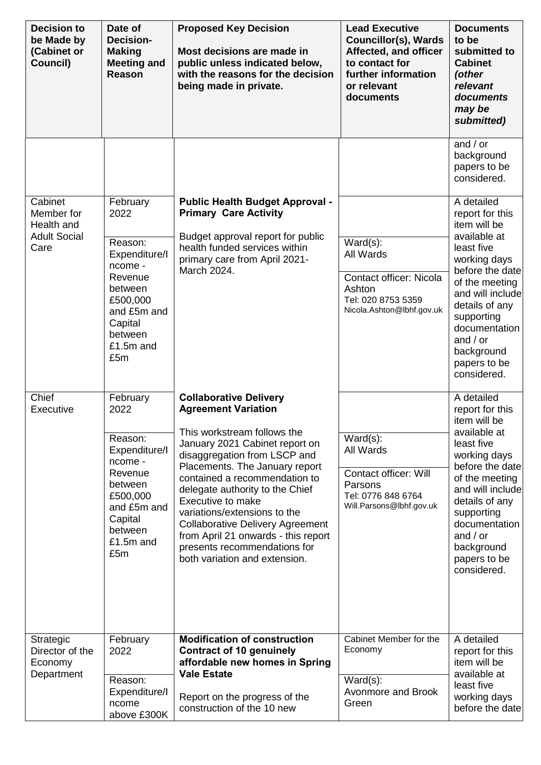| <b>Decision to</b><br>be Made by<br>(Cabinet or<br>Council)        | Date of<br><b>Decision-</b><br><b>Making</b><br><b>Meeting and</b><br>Reason                                                                       | <b>Proposed Key Decision</b><br>Most decisions are made in<br>public unless indicated below,<br>with the reasons for the decision<br>being made in private.                                                                                                                                                                                                                                                                                                                | <b>Lead Executive</b><br><b>Councillor(s), Wards</b><br>Affected, and officer<br>to contact for<br>further information<br>or relevant<br>documents | <b>Documents</b><br>to be<br>submitted to<br><b>Cabinet</b><br>(other<br>relevant<br>documents<br>may be<br>submitted)                                                                                                                                            |
|--------------------------------------------------------------------|----------------------------------------------------------------------------------------------------------------------------------------------------|----------------------------------------------------------------------------------------------------------------------------------------------------------------------------------------------------------------------------------------------------------------------------------------------------------------------------------------------------------------------------------------------------------------------------------------------------------------------------|----------------------------------------------------------------------------------------------------------------------------------------------------|-------------------------------------------------------------------------------------------------------------------------------------------------------------------------------------------------------------------------------------------------------------------|
|                                                                    |                                                                                                                                                    |                                                                                                                                                                                                                                                                                                                                                                                                                                                                            |                                                                                                                                                    | and $\sqrt{or}$<br>background<br>papers to be<br>considered.                                                                                                                                                                                                      |
| Cabinet<br>Member for<br>Health and<br><b>Adult Social</b><br>Care | February<br>2022<br>Reason:<br>Expenditure/I<br>ncome -<br>Revenue<br>between<br>£500,000<br>and £5m and<br>Capital<br>between<br>£1.5m and<br>£5m | <b>Public Health Budget Approval -</b><br><b>Primary Care Activity</b><br>Budget approval report for public<br>health funded services within<br>primary care from April 2021-<br>March 2024.                                                                                                                                                                                                                                                                               | $Ward(s)$ :<br>All Wards<br>Contact officer: Nicola<br>Ashton<br>Tel: 020 8753 5359<br>Nicola.Ashton@lbhf.gov.uk                                   | A detailed<br>report for this<br>item will be<br>available at<br>least five<br>working days<br>before the datel<br>of the meeting<br>and will include<br>details of any<br>supporting<br>documentation<br>and $/$ or<br>background<br>papers to be<br>considered. |
| Chief<br>Executive                                                 | February<br>2022<br>Reason:<br>Expenditure/I<br>ncome -<br>Revenue<br>between<br>£500,000<br>and £5m and<br>Capital<br>between<br>£1.5m and<br>£5m | <b>Collaborative Delivery</b><br><b>Agreement Variation</b><br>This workstream follows the<br>January 2021 Cabinet report on<br>disaggregation from LSCP and<br>Placements. The January report<br>contained a recommendation to<br>delegate authority to the Chief<br>Executive to make<br>variations/extensions to the<br><b>Collaborative Delivery Agreement</b><br>from April 21 onwards - this report<br>presents recommendations for<br>both variation and extension. | $Ward(s)$ :<br>All Wards<br><b>Contact officer: Will</b><br>Parsons<br>Tel: 0776 848 6764<br>Will.Parsons@lbhf.gov.uk                              | A detailed<br>report for this<br>item will be<br>available at<br>least five<br>working days<br>before the date<br>of the meeting<br>and will include<br>details of any<br>supporting<br>documentation<br>and $/$ or<br>background<br>papers to be<br>considered.  |
| Strategic<br>Director of the<br>Economy<br>Department              | February<br>2022<br>Reason:<br>Expenditure/I<br>ncome<br>above £300K                                                                               | <b>Modification of construction</b><br><b>Contract of 10 genuinely</b><br>affordable new homes in Spring<br><b>Vale Estate</b><br>Report on the progress of the<br>construction of the 10 new                                                                                                                                                                                                                                                                              | Cabinet Member for the<br>Economy<br>$Ward(s)$ :<br>Avonmore and Brook<br>Green                                                                    | A detailed<br>report for this<br>item will be<br>available at<br>least five<br>working days<br>before the date                                                                                                                                                    |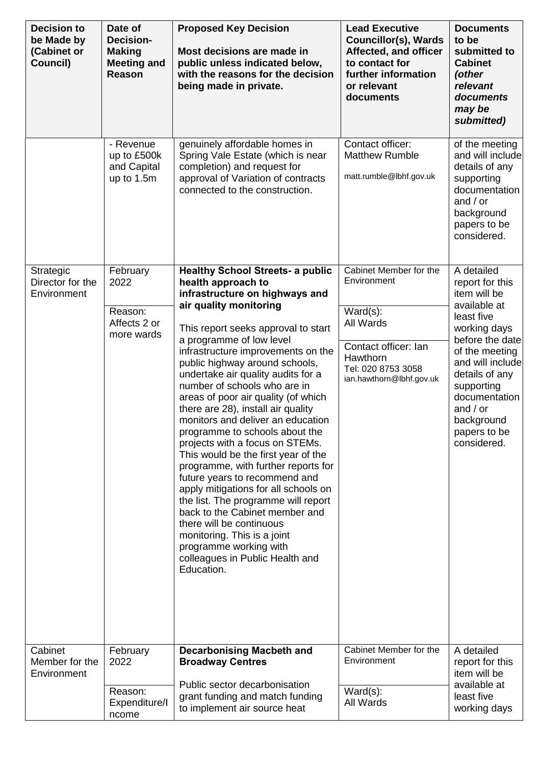| <b>Decision to</b><br>be Made by<br>(Cabinet or<br>Council) | Date of<br><b>Decision-</b><br><b>Making</b><br><b>Meeting and</b><br><b>Reason</b> | <b>Proposed Key Decision</b><br>Most decisions are made in<br>public unless indicated below,<br>with the reasons for the decision<br>being made in private.                                                                                                                                                                                                                                                                                                                                                                                                                                                                                                                                                                                                                                                                                                                                             | <b>Lead Executive</b><br><b>Councillor(s), Wards</b><br>Affected, and officer<br>to contact for<br>further information<br>or relevant<br>documents      | <b>Documents</b><br>to be<br>submitted to<br><b>Cabinet</b><br>(other<br>relevant<br>documents<br>may be<br>submitted)                                                                                                                                           |
|-------------------------------------------------------------|-------------------------------------------------------------------------------------|---------------------------------------------------------------------------------------------------------------------------------------------------------------------------------------------------------------------------------------------------------------------------------------------------------------------------------------------------------------------------------------------------------------------------------------------------------------------------------------------------------------------------------------------------------------------------------------------------------------------------------------------------------------------------------------------------------------------------------------------------------------------------------------------------------------------------------------------------------------------------------------------------------|---------------------------------------------------------------------------------------------------------------------------------------------------------|------------------------------------------------------------------------------------------------------------------------------------------------------------------------------------------------------------------------------------------------------------------|
|                                                             | - Revenue<br>up to £500k<br>and Capital<br>up to 1.5m                               | genuinely affordable homes in<br>Spring Vale Estate (which is near<br>completion) and request for<br>approval of Variation of contracts<br>connected to the construction.                                                                                                                                                                                                                                                                                                                                                                                                                                                                                                                                                                                                                                                                                                                               | Contact officer:<br><b>Matthew Rumble</b><br>matt.rumble@lbhf.gov.uk                                                                                    | of the meeting<br>and will include<br>details of any<br>supporting<br>documentation<br>and $/$ or<br>background<br>papers to be<br>considered.                                                                                                                   |
| Strategic<br>Director for the<br>Environment                | February<br>2022<br>Reason:<br>Affects 2 or<br>more wards                           | <b>Healthy School Streets- a public</b><br>health approach to<br>infrastructure on highways and<br>air quality monitoring<br>This report seeks approval to start<br>a programme of low level<br>infrastructure improvements on the<br>public highway around schools,<br>undertake air quality audits for a<br>number of schools who are in<br>areas of poor air quality (of which<br>there are 28), install air quality<br>monitors and deliver an education<br>programme to schools about the<br>projects with a focus on STEMs.<br>This would be the first year of the<br>programme, with further reports for<br>future years to recommend and<br>apply mitigations for all schools on<br>the list. The programme will report<br>back to the Cabinet member and<br>there will be continuous<br>monitoring. This is a joint<br>programme working with<br>colleagues in Public Health and<br>Education. | Cabinet Member for the<br>Environment<br>$Ward(s)$ :<br>All Wards<br>Contact officer: Ian<br>Hawthorn<br>Tel: 020 8753 3058<br>ian.hawthorn@lbhf.gov.uk | A detailed<br>report for this<br>item will be<br>available at<br>least five<br>working days<br>before the date<br>of the meeting<br>and will include<br>details of any<br>supporting<br>documentation<br>and $/$ or<br>background<br>papers to be<br>considered. |
| Cabinet<br>Member for the<br>Environment                    | February<br>2022<br>Reason:<br>Expenditure/I<br>ncome                               | <b>Decarbonising Macbeth and</b><br><b>Broadway Centres</b><br>Public sector decarbonisation<br>grant funding and match funding<br>to implement air source heat                                                                                                                                                                                                                                                                                                                                                                                                                                                                                                                                                                                                                                                                                                                                         | Cabinet Member for the<br>Environment<br>$Ward(s)$ :<br>All Wards                                                                                       | A detailed<br>report for this<br>item will be<br>available at<br>least five<br>working days                                                                                                                                                                      |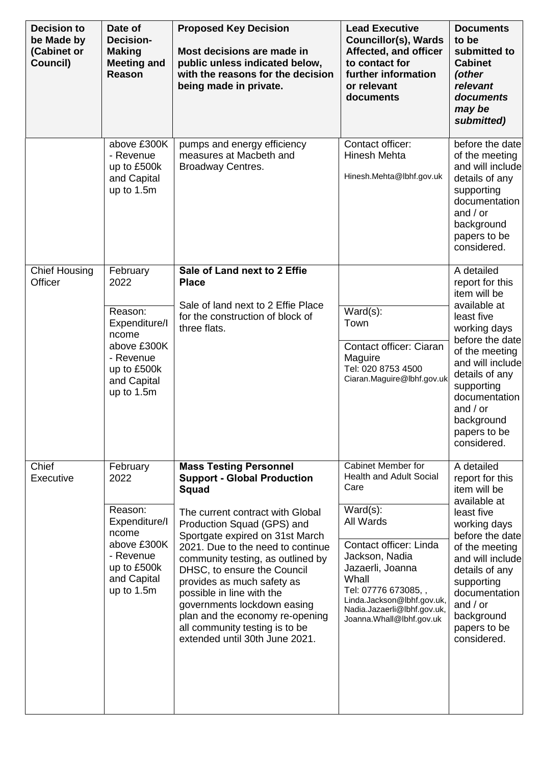| <b>Decision to</b><br>be Made by<br>(Cabinet or<br>Council) | Date of<br><b>Decision-</b><br><b>Making</b><br><b>Meeting and</b><br>Reason                                                  | <b>Proposed Key Decision</b><br>Most decisions are made in<br>public unless indicated below,<br>with the reasons for the decision<br>being made in private.                                                                                                                                                                                                                                                                                                                                        | <b>Lead Executive</b><br><b>Councillor(s), Wards</b><br>Affected, and officer<br>to contact for<br>further information<br>or relevant<br>documents                                                                                                                                | <b>Documents</b><br>to be<br>submitted to<br><b>Cabinet</b><br>(other<br>relevant<br>documents<br>may be<br>submitted)                                                                                                                                           |
|-------------------------------------------------------------|-------------------------------------------------------------------------------------------------------------------------------|----------------------------------------------------------------------------------------------------------------------------------------------------------------------------------------------------------------------------------------------------------------------------------------------------------------------------------------------------------------------------------------------------------------------------------------------------------------------------------------------------|-----------------------------------------------------------------------------------------------------------------------------------------------------------------------------------------------------------------------------------------------------------------------------------|------------------------------------------------------------------------------------------------------------------------------------------------------------------------------------------------------------------------------------------------------------------|
|                                                             | above £300K<br>- Revenue<br>up to £500k<br>and Capital<br>up to 1.5m                                                          | pumps and energy efficiency<br>measures at Macbeth and<br>Broadway Centres.                                                                                                                                                                                                                                                                                                                                                                                                                        | Contact officer:<br><b>Hinesh Mehta</b><br>Hinesh.Mehta@lbhf.gov.uk                                                                                                                                                                                                               | before the date<br>of the meeting<br>and will include<br>details of any<br>supporting<br>documentation<br>and $/$ or<br>background<br>papers to be<br>considered.                                                                                                |
| <b>Chief Housing</b><br>Officer                             | February<br>2022<br>Reason:<br>Expenditure/I<br>ncome<br>above £300K<br>- Revenue<br>up to £500k<br>and Capital<br>up to 1.5m | Sale of Land next to 2 Effie<br><b>Place</b><br>Sale of land next to 2 Effie Place<br>for the construction of block of<br>three flats.                                                                                                                                                                                                                                                                                                                                                             | $Ward(s)$ :<br>Town<br>Contact officer: Ciaran<br>Maguire<br>Tel: 020 8753 4500<br>Ciaran.Maguire@lbhf.gov.uk                                                                                                                                                                     | A detailed<br>report for this<br>item will be<br>available at<br>least five<br>working days<br>before the date<br>of the meeting<br>and will include<br>details of any<br>supporting<br>documentation<br>and $/$ or<br>background<br>papers to be<br>considered. |
| Chief<br>Executive                                          | February<br>2022<br>Reason:<br>Expenditure/I<br>ncome<br>above £300K<br>- Revenue<br>up to £500k<br>and Capital<br>up to 1.5m | <b>Mass Testing Personnel</b><br><b>Support - Global Production</b><br><b>Squad</b><br>The current contract with Global<br>Production Squad (GPS) and<br>Sportgate expired on 31st March<br>2021. Due to the need to continue<br>community testing, as outlined by<br>DHSC, to ensure the Council<br>provides as much safety as<br>possible in line with the<br>governments lockdown easing<br>plan and the economy re-opening<br>all community testing is to be<br>extended until 30th June 2021. | Cabinet Member for<br><b>Health and Adult Social</b><br>Care<br>$Ward(s)$ :<br>All Wards<br>Contact officer: Linda<br>Jackson, Nadia<br>Jazaerli, Joanna<br>Whall<br>Tel: 07776 673085,,<br>Linda.Jackson@lbhf.gov.uk,<br>Nadia.Jazaerli@lbhf.gov.uk,<br>Joanna.Whall@lbhf.gov.uk | A detailed<br>report for this<br>item will be<br>available at<br>least five<br>working days<br>before the date<br>of the meeting<br>and will include<br>details of any<br>supporting<br>documentation<br>and $/$ or<br>background<br>papers to be<br>considered. |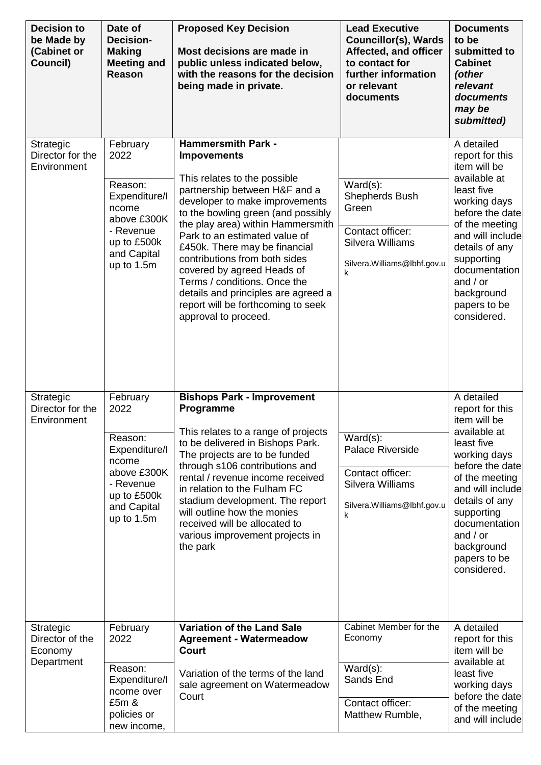| <b>Decision to</b><br>be Made by<br>(Cabinet or<br>Council) | Date of<br><b>Decision-</b><br><b>Making</b><br><b>Meeting and</b><br>Reason                                                  | <b>Proposed Key Decision</b><br>Most decisions are made in<br>public unless indicated below,<br>with the reasons for the decision<br>being made in private.                                                                                                                                                                                                                                                                                                                                         | <b>Lead Executive</b><br><b>Councillor(s), Wards</b><br>Affected, and officer<br>to contact for<br>further information<br>or relevant<br>documents | <b>Documents</b><br>to be<br>submitted to<br><b>Cabinet</b><br>(other<br>relevant<br>documents<br>may be<br>submitted)                                                                                                                                           |
|-------------------------------------------------------------|-------------------------------------------------------------------------------------------------------------------------------|-----------------------------------------------------------------------------------------------------------------------------------------------------------------------------------------------------------------------------------------------------------------------------------------------------------------------------------------------------------------------------------------------------------------------------------------------------------------------------------------------------|----------------------------------------------------------------------------------------------------------------------------------------------------|------------------------------------------------------------------------------------------------------------------------------------------------------------------------------------------------------------------------------------------------------------------|
| Strategic<br>Director for the<br>Environment                | February<br>2022<br>Reason:<br>Expenditure/I<br>ncome<br>above £300K<br>- Revenue<br>up to £500k<br>and Capital<br>up to 1.5m | <b>Hammersmith Park -</b><br><b>Impovements</b><br>This relates to the possible<br>partnership between H&F and a<br>developer to make improvements<br>to the bowling green (and possibly<br>the play area) within Hammersmith<br>Park to an estimated value of<br>£450k. There may be financial<br>contributions from both sides<br>covered by agreed Heads of<br>Terms / conditions. Once the<br>details and principles are agreed a<br>report will be forthcoming to seek<br>approval to proceed. | $Ward(s)$ :<br>Shepherds Bush<br>Green<br>Contact officer:<br>Silvera Williams<br>Silvera. Williams@lbhf.gov.u<br>k                                | A detailed<br>report for this<br>item will be<br>available at<br>least five<br>working days<br>before the date<br>of the meeting<br>and will include<br>details of any<br>supporting<br>documentation<br>and $/$ or<br>background<br>papers to be<br>considered. |
| Strategic<br>Director for the<br>Environment                | February<br>2022<br>Reason:<br>Expenditure/I<br>ncome<br>above £300K<br>- Revenue<br>up to £500k<br>and Capital<br>up to 1.5m | <b>Bishops Park - Improvement</b><br>Programme<br>This relates to a range of projects<br>to be delivered in Bishops Park.<br>The projects are to be funded<br>through s106 contributions and<br>rental / revenue income received<br>in relation to the Fulham FC<br>stadium development. The report<br>will outline how the monies<br>received will be allocated to<br>various improvement projects in<br>the park                                                                                  | $Ward(s)$ :<br><b>Palace Riverside</b><br>Contact officer:<br>Silvera Williams<br>Silvera. Williams@lbhf.gov.u<br>k                                | A detailed<br>report for this<br>item will be<br>available at<br>least five<br>working days<br>before the date<br>of the meeting<br>and will include<br>details of any<br>supporting<br>documentation<br>and $/$ or<br>background<br>papers to be<br>considered. |
| Strategic<br>Director of the<br>Economy<br>Department       | February<br>2022<br>Reason:<br>Expenditure/I<br>ncome over<br>£5m &<br>policies or<br>new income,                             | <b>Variation of the Land Sale</b><br><b>Agreement - Watermeadow</b><br><b>Court</b><br>Variation of the terms of the land<br>sale agreement on Watermeadow<br>Court                                                                                                                                                                                                                                                                                                                                 | Cabinet Member for the<br>Economy<br>$Ward(s)$ :<br>Sands End<br>Contact officer:<br>Matthew Rumble,                                               | A detailed<br>report for this<br>item will be<br>available at<br>least five<br>working days<br>before the date<br>of the meeting<br>and will include                                                                                                             |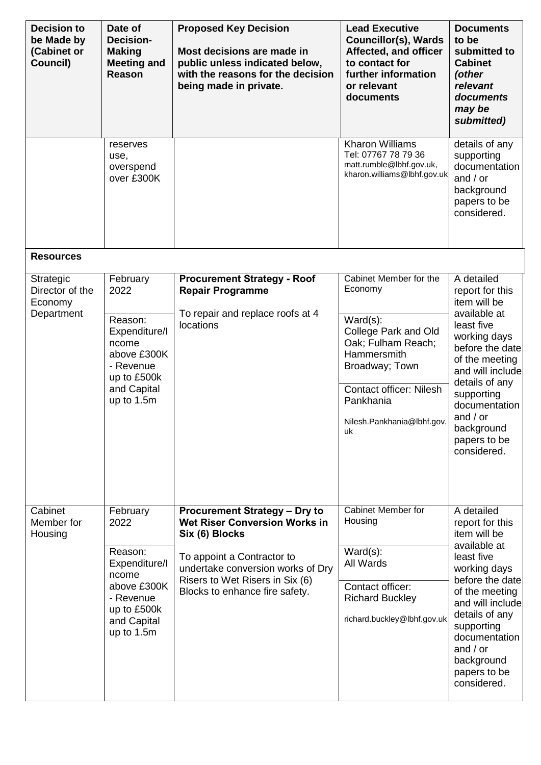| <b>Decision to</b><br>be Made by<br>(Cabinet or<br>Council) | Date of<br><b>Decision-</b><br><b>Making</b><br><b>Meeting and</b><br><b>Reason</b>                                           | <b>Proposed Key Decision</b><br>Most decisions are made in<br>public unless indicated below,<br>with the reasons for the decision<br>being made in private.                                                                            | <b>Lead Executive</b><br><b>Councillor(s), Wards</b><br>Affected, and officer<br>to contact for<br>further information<br>or relevant<br>documents                                                                 | <b>Documents</b><br>to be<br>submitted to<br><b>Cabinet</b><br>(other<br>relevant<br>documents<br>may be<br>submitted)                                                                                                                                           |
|-------------------------------------------------------------|-------------------------------------------------------------------------------------------------------------------------------|----------------------------------------------------------------------------------------------------------------------------------------------------------------------------------------------------------------------------------------|--------------------------------------------------------------------------------------------------------------------------------------------------------------------------------------------------------------------|------------------------------------------------------------------------------------------------------------------------------------------------------------------------------------------------------------------------------------------------------------------|
|                                                             | reserves<br>use,<br>overspend<br>over £300K                                                                                   |                                                                                                                                                                                                                                        | <b>Kharon Williams</b><br>Tel: 07767 78 79 36<br>matt.rumble@lbhf.gov.uk,<br>kharon.williams@lbhf.gov.uk                                                                                                           | details of any<br>supporting<br>documentation<br>and $/$ or<br>background<br>papers to be<br>considered.                                                                                                                                                         |
| <b>Resources</b>                                            |                                                                                                                               |                                                                                                                                                                                                                                        |                                                                                                                                                                                                                    |                                                                                                                                                                                                                                                                  |
| Strategic<br>Director of the<br>Economy<br>Department       | February<br>2022<br>Reason:<br>Expenditure/I<br>ncome<br>above £300K<br>- Revenue<br>up to £500k<br>and Capital<br>up to 1.5m | <b>Procurement Strategy - Roof</b><br><b>Repair Programme</b><br>To repair and replace roofs at 4<br>locations                                                                                                                         | Cabinet Member for the<br>Economy<br>$Ward(s)$ :<br>College Park and Old<br>Oak; Fulham Reach;<br>Hammersmith<br>Broadway; Town<br><b>Contact officer: Nilesh</b><br>Pankhania<br>Nilesh.Pankhania@lbhf.gov.<br>uk | A detailed<br>report for this<br>item will be<br>available at<br>least five<br>working days<br>before the date<br>of the meeting<br>and will include<br>details of any<br>supporting<br>documentation<br>and $/$ or<br>background<br>papers to be<br>considered. |
| Cabinet<br>Member for<br>Housing                            | February<br>2022<br>Reason:<br>Expenditure/I<br>ncome<br>above £300K<br>- Revenue<br>up to £500k<br>and Capital<br>up to 1.5m | <b>Procurement Strategy - Dry to</b><br><b>Wet Riser Conversion Works in</b><br>Six (6) Blocks<br>To appoint a Contractor to<br>undertake conversion works of Dry<br>Risers to Wet Risers in Six (6)<br>Blocks to enhance fire safety. | Cabinet Member for<br>Housing<br>$Ward(s)$ :<br>All Wards<br>Contact officer:<br><b>Richard Buckley</b><br>richard.buckley@lbhf.gov.uk                                                                             | A detailed<br>report for this<br>item will be<br>available at<br>least five<br>working days<br>before the date<br>of the meeting<br>and will include<br>details of any<br>supporting<br>documentation<br>and $/$ or<br>background<br>papers to be<br>considered. |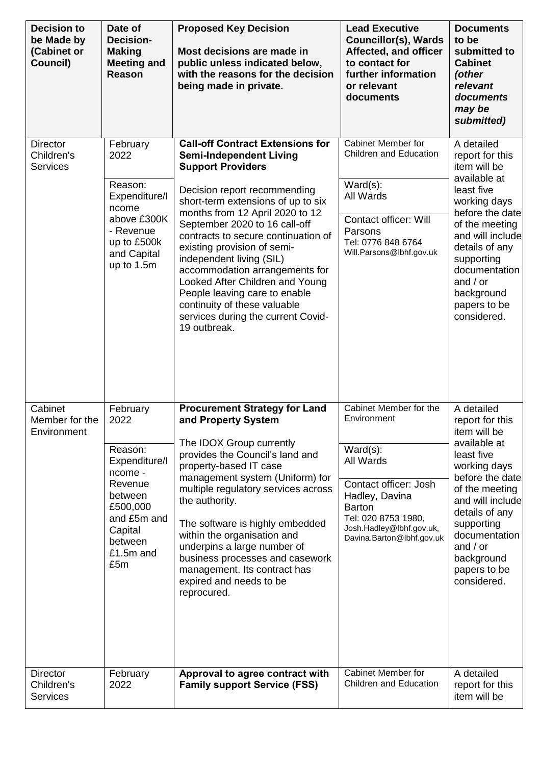| <b>Decision to</b><br>be Made by<br>(Cabinet or<br>Council) | Date of<br><b>Decision-</b><br><b>Making</b><br><b>Meeting and</b><br>Reason                                                                       | <b>Proposed Key Decision</b><br>Most decisions are made in<br>public unless indicated below,<br>with the reasons for the decision<br>being made in private.                                                                                                                                                                                                                                                                                                                                                                                   | <b>Lead Executive</b><br><b>Councillor(s), Wards</b><br>Affected, and officer<br>to contact for<br>further information<br>or relevant<br>documents                                                            | <b>Documents</b><br>to be<br>submitted to<br><b>Cabinet</b><br>(other<br>relevant<br>documents<br>may be<br>submitted)                                                                                                                                           |
|-------------------------------------------------------------|----------------------------------------------------------------------------------------------------------------------------------------------------|-----------------------------------------------------------------------------------------------------------------------------------------------------------------------------------------------------------------------------------------------------------------------------------------------------------------------------------------------------------------------------------------------------------------------------------------------------------------------------------------------------------------------------------------------|---------------------------------------------------------------------------------------------------------------------------------------------------------------------------------------------------------------|------------------------------------------------------------------------------------------------------------------------------------------------------------------------------------------------------------------------------------------------------------------|
| <b>Director</b><br>Children's<br><b>Services</b>            | February<br>2022<br>Reason:<br>Expenditure/I<br>ncome<br>above £300K<br>- Revenue<br>up to £500k<br>and Capital<br>up to 1.5m                      | <b>Call-off Contract Extensions for</b><br><b>Semi-Independent Living</b><br><b>Support Providers</b><br>Decision report recommending<br>short-term extensions of up to six<br>months from 12 April 2020 to 12<br>September 2020 to 16 call-off<br>contracts to secure continuation of<br>existing provision of semi-<br>independent living (SIL)<br>accommodation arrangements for<br>Looked After Children and Young<br>People leaving care to enable<br>continuity of these valuable<br>services during the current Covid-<br>19 outbreak. | Cabinet Member for<br><b>Children and Education</b><br>$Ward(s)$ :<br>All Wards<br><b>Contact officer: Will</b><br>Parsons<br>Tel: 0776 848 6764<br>Will.Parsons@lbhf.gov.uk                                  | A detailed<br>report for this<br>item will be<br>available at<br>least five<br>working days<br>before the date<br>of the meeting<br>and will include<br>details of any<br>supporting<br>documentation<br>and $/$ or<br>background<br>papers to be<br>considered. |
| Cabinet<br>Member for the<br>Environment                    | February<br>2022<br>Reason:<br>Expenditure/I<br>ncome -<br>Revenue<br>between<br>£500,000<br>and £5m and<br>Capital<br>between<br>£1.5m and<br>£5m | <b>Procurement Strategy for Land</b><br>and Property System<br>The IDOX Group currently<br>provides the Council's land and<br>property-based IT case<br>management system (Uniform) for<br>multiple regulatory services across<br>the authority.<br>The software is highly embedded<br>within the organisation and<br>underpins a large number of<br>business processes and casework<br>management. Its contract has<br>expired and needs to be<br>reprocured.                                                                                | Cabinet Member for the<br>Environment<br>$Ward(s)$ :<br>All Wards<br>Contact officer: Josh<br>Hadley, Davina<br><b>Barton</b><br>Tel: 020 8753 1980,<br>Josh.Hadley@lbhf.gov.uk,<br>Davina.Barton@lbhf.gov.uk | A detailed<br>report for this<br>item will be<br>available at<br>least five<br>working days<br>before the date<br>of the meeting<br>and will include<br>details of any<br>supporting<br>documentation<br>and $/$ or<br>background<br>papers to be<br>considered. |
| <b>Director</b><br>Children's<br><b>Services</b>            | February<br>2022                                                                                                                                   | Approval to agree contract with<br><b>Family support Service (FSS)</b>                                                                                                                                                                                                                                                                                                                                                                                                                                                                        | Cabinet Member for<br><b>Children and Education</b>                                                                                                                                                           | A detailed<br>report for this<br>item will be                                                                                                                                                                                                                    |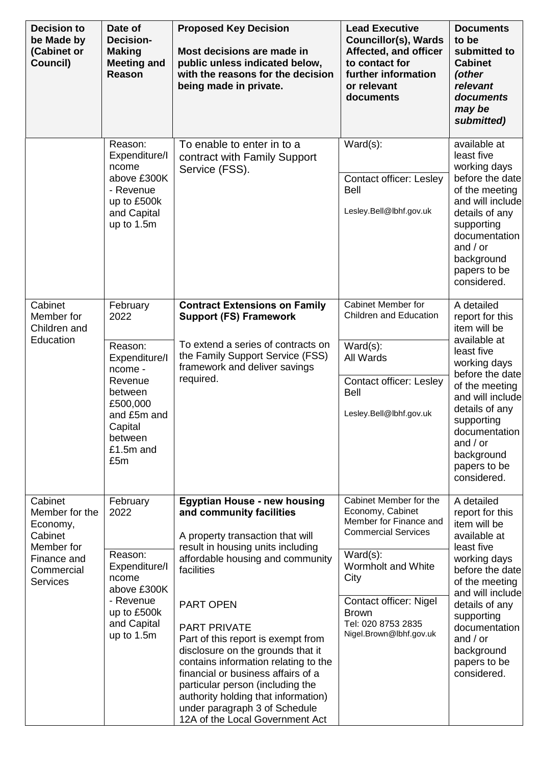| <b>Decision to</b><br>be Made by<br>(Cabinet or<br>Council)                                                    | Date of<br><b>Decision-</b><br><b>Making</b><br><b>Meeting and</b><br>Reason                                                                       | <b>Proposed Key Decision</b><br>Most decisions are made in<br>public unless indicated below,<br>with the reasons for the decision<br>being made in private.                                                                                                                                                                                                                                                                                                                                                                                   | <b>Lead Executive</b><br><b>Councillor(s), Wards</b><br>Affected, and officer<br>to contact for<br>further information<br>or relevant<br>documents                                                                                         | <b>Documents</b><br>to be<br>submitted to<br><b>Cabinet</b><br>(other<br>relevant<br>documents<br>may be<br>submitted)                                                                                                                                           |
|----------------------------------------------------------------------------------------------------------------|----------------------------------------------------------------------------------------------------------------------------------------------------|-----------------------------------------------------------------------------------------------------------------------------------------------------------------------------------------------------------------------------------------------------------------------------------------------------------------------------------------------------------------------------------------------------------------------------------------------------------------------------------------------------------------------------------------------|--------------------------------------------------------------------------------------------------------------------------------------------------------------------------------------------------------------------------------------------|------------------------------------------------------------------------------------------------------------------------------------------------------------------------------------------------------------------------------------------------------------------|
|                                                                                                                | Reason:<br>Expenditure/I<br>ncome<br>above £300K<br>- Revenue<br>up to £500k<br>and Capital<br>up to 1.5m                                          | To enable to enter in to a<br>contract with Family Support<br>Service (FSS).                                                                                                                                                                                                                                                                                                                                                                                                                                                                  | $Ward(s)$ :<br><b>Contact officer: Lesley</b><br><b>Bell</b><br>Lesley.Bell@lbhf.gov.uk                                                                                                                                                    | available at<br>least five<br>working days<br>before the date<br>of the meeting<br>and will include<br>details of any<br>supporting<br>documentation<br>and $/$ or<br>background<br>papers to be<br>considered.                                                  |
| Cabinet<br>Member for<br>Children and<br>Education                                                             | February<br>2022<br>Reason:<br>Expenditure/I<br>ncome -<br>Revenue<br>between<br>£500,000<br>and £5m and<br>Capital<br>between<br>£1.5m and<br>£5m | <b>Contract Extensions on Family</b><br><b>Support (FS) Framework</b><br>To extend a series of contracts on<br>the Family Support Service (FSS)<br>framework and deliver savings<br>required.                                                                                                                                                                                                                                                                                                                                                 | Cabinet Member for<br>Children and Education<br>$Ward(s)$ :<br>All Wards<br><b>Contact officer: Lesley</b><br><b>Bell</b><br>Lesley.Bell@lbhf.gov.uk                                                                                       | A detailed<br>report for this<br>item will be<br>available at<br>least five<br>working days<br>before the date<br>of the meeting<br>and will include<br>details of any<br>supporting<br>documentation<br>and $/$ or<br>background<br>papers to be<br>considered. |
| Cabinet<br>Member for the<br>Economy,<br>Cabinet<br>Member for<br>Finance and<br>Commercial<br><b>Services</b> | February<br>2022<br>Reason:<br>Expenditure/I<br>ncome<br>above £300K<br>- Revenue<br>up to £500k<br>and Capital<br>up to 1.5m                      | <b>Egyptian House - new housing</b><br>and community facilities<br>A property transaction that will<br>result in housing units including<br>affordable housing and community<br>facilities<br><b>PART OPEN</b><br><b>PART PRIVATE</b><br>Part of this report is exempt from<br>disclosure on the grounds that it<br>contains information relating to the<br>financial or business affairs of a<br>particular person (including the<br>authority holding that information)<br>under paragraph 3 of Schedule<br>12A of the Local Government Act | Cabinet Member for the<br>Economy, Cabinet<br>Member for Finance and<br><b>Commercial Services</b><br>$Ward(s)$ :<br>Wormholt and White<br>City<br>Contact officer: Nigel<br><b>Brown</b><br>Tel: 020 8753 2835<br>Nigel.Brown@lbhf.gov.uk | A detailed<br>report for this<br>item will be<br>available at<br>least five<br>working days<br>before the date<br>of the meeting<br>and will include<br>details of any<br>supporting<br>documentation<br>and $/$ or<br>background<br>papers to be<br>considered. |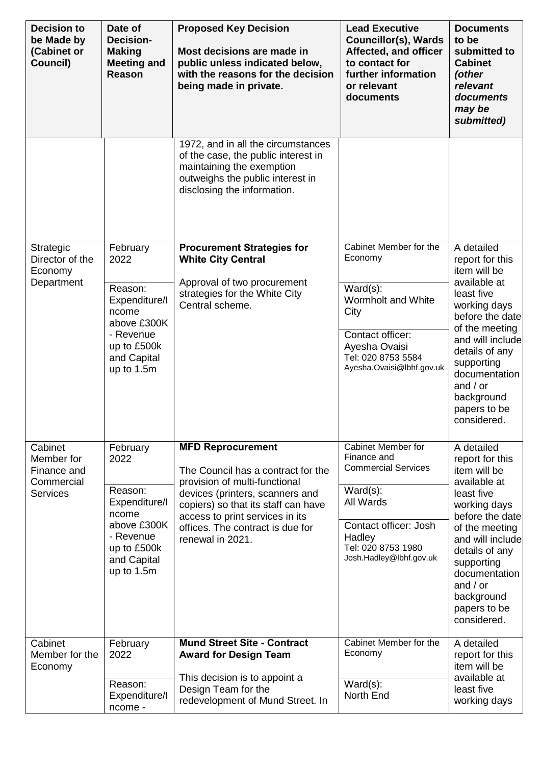| <b>Decision to</b><br>be Made by<br>(Cabinet or<br>Council)           | Date of<br><b>Decision-</b><br><b>Making</b><br><b>Meeting and</b><br>Reason                                                  | <b>Proposed Key Decision</b><br>Most decisions are made in<br>public unless indicated below,<br>with the reasons for the decision<br>being made in private.                                                                                                          | <b>Lead Executive</b><br><b>Councillor(s), Wards</b><br>Affected, and officer<br>to contact for<br>further information<br>or relevant<br>documents                              | <b>Documents</b><br>to be<br>submitted to<br><b>Cabinet</b><br>(other<br>relevant<br>documents<br>may be<br>submitted)                                                                                                                                           |
|-----------------------------------------------------------------------|-------------------------------------------------------------------------------------------------------------------------------|----------------------------------------------------------------------------------------------------------------------------------------------------------------------------------------------------------------------------------------------------------------------|---------------------------------------------------------------------------------------------------------------------------------------------------------------------------------|------------------------------------------------------------------------------------------------------------------------------------------------------------------------------------------------------------------------------------------------------------------|
|                                                                       |                                                                                                                               | 1972, and in all the circumstances<br>of the case, the public interest in<br>maintaining the exemption<br>outweighs the public interest in<br>disclosing the information.                                                                                            |                                                                                                                                                                                 |                                                                                                                                                                                                                                                                  |
| Strategic<br>Director of the<br>Economy<br>Department                 | February<br>2022<br>Reason:<br>Expenditure/I<br>ncome<br>above £300K<br>- Revenue<br>up to £500k<br>and Capital<br>up to 1.5m | <b>Procurement Strategies for</b><br><b>White City Central</b><br>Approval of two procurement<br>strategies for the White City<br>Central scheme.                                                                                                                    | Cabinet Member for the<br>Economy<br>$Ward(s)$ :<br>Wormholt and White<br>City<br>Contact officer:<br>Ayesha Ovaisi<br>Tel: 020 8753 5584<br>Ayesha.Ovaisi@lbhf.gov.uk          | A detailed<br>report for this<br>item will be<br>available at<br>least five<br>working days<br>before the date<br>of the meeting<br>and will include<br>details of any<br>supporting<br>documentation<br>and $/$ or<br>background<br>papers to be<br>considered. |
| Cabinet<br>Member for<br>Finance and<br>Commercial<br><b>Services</b> | February<br>2022<br>Reason:<br>Expenditure/I<br>ncome<br>above £300K<br>- Revenue<br>up to £500k<br>and Capital<br>up to 1.5m | <b>MFD Reprocurement</b><br>The Council has a contract for the<br>provision of multi-functional<br>devices (printers, scanners and<br>copiers) so that its staff can have<br>access to print services in its<br>offices. The contract is due for<br>renewal in 2021. | Cabinet Member for<br>Finance and<br><b>Commercial Services</b><br>$Ward(s)$ :<br>All Wards<br>Contact officer: Josh<br>Hadley<br>Tel: 020 8753 1980<br>Josh.Hadley@lbhf.gov.uk | A detailed<br>report for this<br>item will be<br>available at<br>least five<br>working days<br>before the date<br>of the meeting<br>and will include<br>details of any<br>supporting<br>documentation<br>and $/$ or<br>background<br>papers to be<br>considered. |
| Cabinet<br>Member for the<br>Economy                                  | February<br>2022<br>Reason:<br>Expenditure/I<br>ncome -                                                                       | <b>Mund Street Site - Contract</b><br><b>Award for Design Team</b><br>This decision is to appoint a<br>Design Team for the<br>redevelopment of Mund Street. In                                                                                                       | Cabinet Member for the<br>Economy<br>$Ward(s)$ :<br>North End                                                                                                                   | A detailed<br>report for this<br>item will be<br>available at<br>least five<br>working days                                                                                                                                                                      |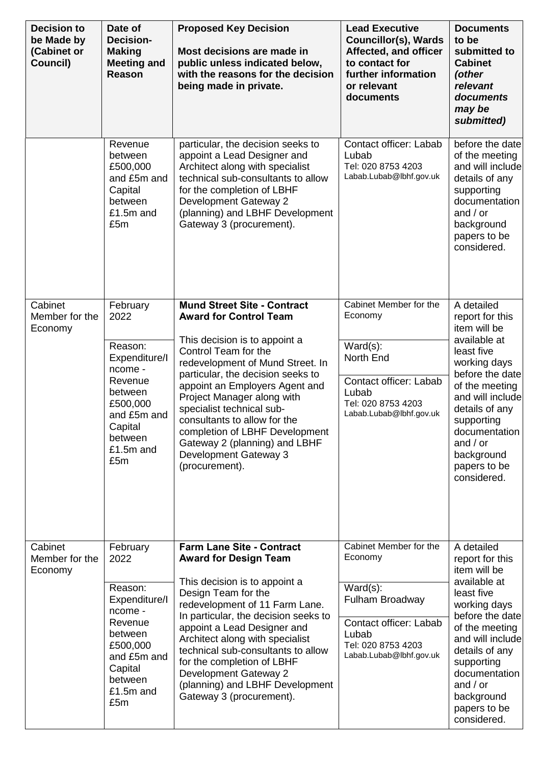| <b>Decision to</b><br>be Made by<br>(Cabinet or<br>Council) | Date of<br><b>Decision-</b><br><b>Making</b><br><b>Meeting and</b><br>Reason                                                               | <b>Proposed Key Decision</b><br>Most decisions are made in<br>public unless indicated below,<br>with the reasons for the decision<br>being made in private.                                                                                                                                                                                                                                                   | <b>Lead Executive</b><br><b>Councillor(s), Wards</b><br>Affected, and officer<br>to contact for<br>further information<br>or relevant<br>documents | <b>Documents</b><br>to be<br>submitted to<br><b>Cabinet</b><br>(other<br>relevant<br>documents<br>may be<br>submitted)                                                                                          |
|-------------------------------------------------------------|--------------------------------------------------------------------------------------------------------------------------------------------|---------------------------------------------------------------------------------------------------------------------------------------------------------------------------------------------------------------------------------------------------------------------------------------------------------------------------------------------------------------------------------------------------------------|----------------------------------------------------------------------------------------------------------------------------------------------------|-----------------------------------------------------------------------------------------------------------------------------------------------------------------------------------------------------------------|
|                                                             | Revenue<br>between<br>£500,000<br>and £5m and<br>Capital<br>between<br>£1.5m and<br>£5m                                                    | particular, the decision seeks to<br>appoint a Lead Designer and<br>Architect along with specialist<br>technical sub-consultants to allow<br>for the completion of LBHF<br>Development Gateway 2<br>(planning) and LBHF Development<br>Gateway 3 (procurement).                                                                                                                                               | Contact officer: Labab<br>Lubab<br>Tel: 020 8753 4203<br>Labab.Lubab@lbhf.gov.uk                                                                   | before the date<br>of the meeting<br>and will include<br>details of any<br>supporting<br>documentation<br>and $/$ or<br>background<br>papers to be<br>considered.                                               |
| Cabinet<br>Member for the<br>Economy                        | February<br>2022                                                                                                                           | <b>Mund Street Site - Contract</b><br><b>Award for Control Team</b>                                                                                                                                                                                                                                                                                                                                           | Cabinet Member for the<br>Economy                                                                                                                  | A detailed<br>report for this<br>item will be<br>available at                                                                                                                                                   |
| Cabinet                                                     | Reason:<br>Expenditure/I<br>ncome -<br>Revenue<br>between<br>£500,000<br>and £5m and<br>Capital<br>between<br>£1.5m and<br>£5m<br>February | This decision is to appoint a<br>Control Team for the<br>redevelopment of Mund Street. In<br>particular, the decision seeks to<br>appoint an Employers Agent and<br>Project Manager along with<br>specialist technical sub-<br>consultants to allow for the<br>completion of LBHF Development<br>Gateway 2 (planning) and LBHF<br>Development Gateway 3<br>(procurement).<br><b>Farm Lane Site - Contract</b> | $Ward(s)$ :<br>North End<br>Contact officer: Labab<br>Lubab<br>Tel: 020 8753 4203<br>Labab.Lubab@lbhf.gov.uk<br>Cabinet Member for the             | least five<br>working days<br>before the date<br>of the meeting<br>and will include<br>details of any<br>supporting<br>documentation<br>and $/$ or<br>background<br>papers to be<br>considered.<br>A detailed   |
| Member for the<br>Economy                                   | 2022                                                                                                                                       | <b>Award for Design Team</b>                                                                                                                                                                                                                                                                                                                                                                                  | Economy                                                                                                                                            | report for this<br>item will be                                                                                                                                                                                 |
|                                                             | Reason:<br>Expenditure/I<br>ncome -<br>Revenue<br>between<br>£500,000<br>and £5m and<br>Capital<br>between<br>£1.5m and<br>£5m             | This decision is to appoint a<br>Design Team for the<br>redevelopment of 11 Farm Lane.<br>In particular, the decision seeks to<br>appoint a Lead Designer and<br>Architect along with specialist<br>technical sub-consultants to allow<br>for the completion of LBHF<br>Development Gateway 2<br>(planning) and LBHF Development<br>Gateway 3 (procurement).                                                  | $Ward(s)$ :<br>Fulham Broadway<br>Contact officer: Labab<br>Lubab<br>Tel: 020 8753 4203<br>Labab.Lubab@lbhf.gov.uk                                 | available at<br>least five<br>working days<br>before the date<br>of the meeting<br>and will include<br>details of any<br>supporting<br>documentation<br>and $/$ or<br>background<br>papers to be<br>considered. |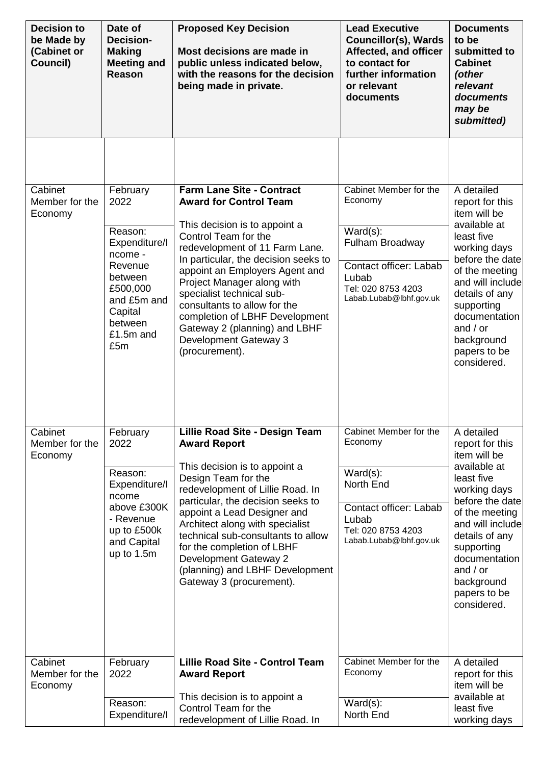| <b>Decision to</b><br>be Made by<br>(Cabinet or<br>Council) | Date of<br><b>Decision-</b><br><b>Making</b><br><b>Meeting and</b><br><b>Reason</b>                                                                | <b>Proposed Key Decision</b><br>Most decisions are made in<br>public unless indicated below,<br>with the reasons for the decision<br>being made in private.                                                                                                                                                                                                                                                                                     | <b>Lead Executive</b><br><b>Councillor(s), Wards</b><br>Affected, and officer<br>to contact for<br>further information<br>or relevant<br>documents      | <b>Documents</b><br>to be<br>submitted to<br><b>Cabinet</b><br>(other<br>relevant<br>documents<br>may be<br>submitted)                                                                                                                                           |
|-------------------------------------------------------------|----------------------------------------------------------------------------------------------------------------------------------------------------|-------------------------------------------------------------------------------------------------------------------------------------------------------------------------------------------------------------------------------------------------------------------------------------------------------------------------------------------------------------------------------------------------------------------------------------------------|---------------------------------------------------------------------------------------------------------------------------------------------------------|------------------------------------------------------------------------------------------------------------------------------------------------------------------------------------------------------------------------------------------------------------------|
|                                                             |                                                                                                                                                    |                                                                                                                                                                                                                                                                                                                                                                                                                                                 |                                                                                                                                                         |                                                                                                                                                                                                                                                                  |
| Cabinet<br>Member for the<br>Economy                        | February<br>2022<br>Reason:<br>Expenditure/I<br>ncome -<br>Revenue<br>between<br>£500,000<br>and £5m and<br>Capital<br>between<br>£1.5m and<br>£5m | <b>Farm Lane Site - Contract</b><br><b>Award for Control Team</b><br>This decision is to appoint a<br>Control Team for the<br>redevelopment of 11 Farm Lane.<br>In particular, the decision seeks to<br>appoint an Employers Agent and<br>Project Manager along with<br>specialist technical sub-<br>consultants to allow for the<br>completion of LBHF Development<br>Gateway 2 (planning) and LBHF<br>Development Gateway 3<br>(procurement). | Cabinet Member for the<br>Economy<br>$Ward(s)$ :<br>Fulham Broadway<br>Contact officer: Labab<br>Lubab<br>Tel: 020 8753 4203<br>Labab.Lubab@lbhf.gov.uk | A detailed<br>report for this<br>item will be<br>available at<br>least five<br>working days<br>before the date<br>of the meeting<br>and will include<br>details of any<br>supporting<br>documentation<br>and $/$ or<br>background<br>papers to be<br>considered. |
| Cabinet<br>Member for the<br>Economy                        | February<br>2022<br>Reason:<br>Expenditure/I<br>ncome<br>above £300K<br>- Revenue<br>up to £500k<br>and Capital<br>up to $1.5m$                    | Lillie Road Site - Design Team<br><b>Award Report</b><br>This decision is to appoint a<br>Design Team for the<br>redevelopment of Lillie Road. In<br>particular, the decision seeks to<br>appoint a Lead Designer and<br>Architect along with specialist<br>technical sub-consultants to allow<br>for the completion of LBHF<br>Development Gateway 2<br>(planning) and LBHF Development<br>Gateway 3 (procurement).                            | Cabinet Member for the<br>Economy<br>$Ward(s)$ :<br>North End<br>Contact officer: Labab<br>Lubab<br>Tel: 020 8753 4203<br>Labab.Lubab@lbhf.gov.uk       | A detailed<br>report for this<br>item will be<br>available at<br>least five<br>working days<br>before the date<br>of the meeting<br>and will include<br>details of any<br>supporting<br>documentation<br>and $/$ or<br>background<br>papers to be<br>considered. |
| Cabinet<br>Member for the<br>Economy                        | February<br>2022<br>Reason:<br>Expenditure/I                                                                                                       | <b>Lillie Road Site - Control Team</b><br><b>Award Report</b><br>This decision is to appoint a<br>Control Team for the<br>redevelopment of Lillie Road. In                                                                                                                                                                                                                                                                                      | Cabinet Member for the<br>Economy<br>$Ward(s)$ :<br>North End                                                                                           | A detailed<br>report for this<br>item will be<br>available at<br>least five<br>working days                                                                                                                                                                      |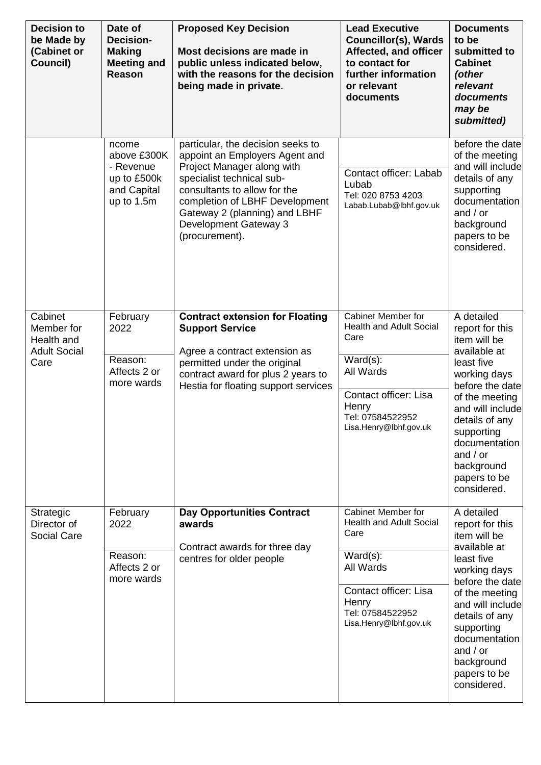| <b>Decision to</b><br>be Made by<br>(Cabinet or<br>Council)        | Date of<br><b>Decision-</b><br><b>Making</b><br><b>Meeting and</b><br>Reason  | <b>Proposed Key Decision</b><br>Most decisions are made in<br>public unless indicated below,<br>with the reasons for the decision<br>being made in private.                                                                                                                  | <b>Lead Executive</b><br><b>Councillor(s), Wards</b><br>Affected, and officer<br>to contact for<br>further information<br>or relevant<br>documents                       | <b>Documents</b><br>to be<br>submitted to<br><b>Cabinet</b><br>(other<br>relevant<br>documents<br>may be<br>submitted)                                                                                                                                           |
|--------------------------------------------------------------------|-------------------------------------------------------------------------------|------------------------------------------------------------------------------------------------------------------------------------------------------------------------------------------------------------------------------------------------------------------------------|--------------------------------------------------------------------------------------------------------------------------------------------------------------------------|------------------------------------------------------------------------------------------------------------------------------------------------------------------------------------------------------------------------------------------------------------------|
|                                                                    | ncome<br>above £300K<br>- Revenue<br>up to £500k<br>and Capital<br>up to 1.5m | particular, the decision seeks to<br>appoint an Employers Agent and<br>Project Manager along with<br>specialist technical sub-<br>consultants to allow for the<br>completion of LBHF Development<br>Gateway 2 (planning) and LBHF<br>Development Gateway 3<br>(procurement). | Contact officer: Labab<br>Lubab<br>Tel: 020 8753 4203<br>Labab.Lubab@lbhf.gov.uk                                                                                         | before the date<br>of the meeting<br>and will include<br>details of any<br>supporting<br>documentation<br>and $/$ or<br>background<br>papers to be<br>considered.                                                                                                |
| Cabinet<br>Member for<br>Health and<br><b>Adult Social</b><br>Care | February<br>2022<br>Reason:<br>Affects 2 or<br>more wards                     | <b>Contract extension for Floating</b><br><b>Support Service</b><br>Agree a contract extension as<br>permitted under the original<br>contract award for plus 2 years to<br>Hestia for floating support services                                                              | Cabinet Member for<br><b>Health and Adult Social</b><br>Care<br>$Ward(s)$ :<br>All Wards<br>Contact officer: Lisa<br>Henry<br>Tel: 07584522952<br>Lisa.Henry@lbhf.gov.uk | A detailed<br>report for this<br>item will be<br>available at<br>least five<br>working days<br>before the date<br>of the meeting<br>and will include<br>details of any<br>supporting<br>documentation<br>and $/$ or<br>background<br>papers to be<br>considered. |
| Strategic<br>Director of<br>Social Care                            | February<br>2022<br>Reason:<br>Affects 2 or<br>more wards                     | <b>Day Opportunities Contract</b><br>awards<br>Contract awards for three day<br>centres for older people                                                                                                                                                                     | Cabinet Member for<br><b>Health and Adult Social</b><br>Care<br>$Ward(s)$ :<br>All Wards<br>Contact officer: Lisa<br>Henry<br>Tel: 07584522952<br>Lisa.Henry@lbhf.gov.uk | A detailed<br>report for this<br>item will be<br>available at<br>least five<br>working days<br>before the date<br>of the meeting<br>and will include<br>details of any<br>supporting<br>documentation<br>and $/$ or<br>background<br>papers to be<br>considered. |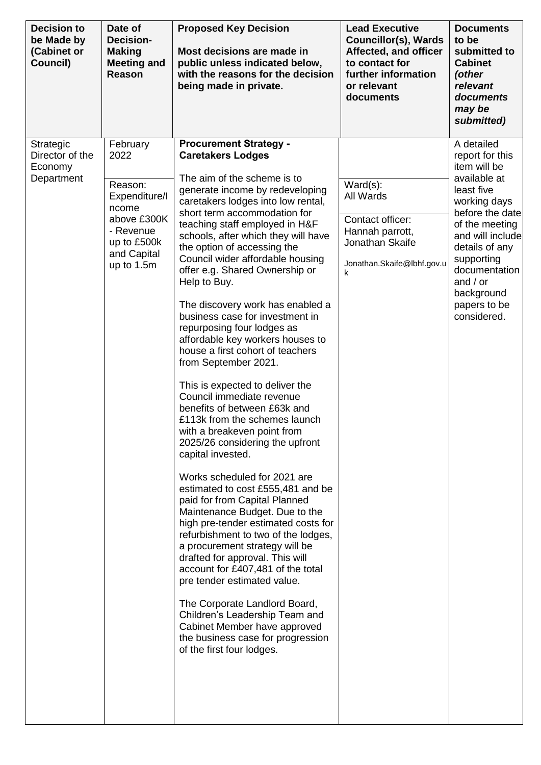| <b>Decision to</b><br>be Made by<br>(Cabinet or<br>Council) | Date of<br><b>Decision-</b><br><b>Making</b><br><b>Meeting and</b><br>Reason                                                  | <b>Proposed Key Decision</b><br>Most decisions are made in<br>public unless indicated below,<br>with the reasons for the decision<br>being made in private.                                                                                                                                                                                                                                                                                                                                                                                                                                                                                                                                                                                                                                                                                                                                                                                                                                                                                                                                                                                                                                                                                                                                                                                                      | <b>Lead Executive</b><br><b>Councillor(s), Wards</b><br>Affected, and officer<br>to contact for<br>further information<br>or relevant<br>documents | <b>Documents</b><br>to be<br>submitted to<br><b>Cabinet</b><br>(other<br>relevant<br>documents<br>may be<br>submitted)                                                                                                                                           |
|-------------------------------------------------------------|-------------------------------------------------------------------------------------------------------------------------------|------------------------------------------------------------------------------------------------------------------------------------------------------------------------------------------------------------------------------------------------------------------------------------------------------------------------------------------------------------------------------------------------------------------------------------------------------------------------------------------------------------------------------------------------------------------------------------------------------------------------------------------------------------------------------------------------------------------------------------------------------------------------------------------------------------------------------------------------------------------------------------------------------------------------------------------------------------------------------------------------------------------------------------------------------------------------------------------------------------------------------------------------------------------------------------------------------------------------------------------------------------------------------------------------------------------------------------------------------------------|----------------------------------------------------------------------------------------------------------------------------------------------------|------------------------------------------------------------------------------------------------------------------------------------------------------------------------------------------------------------------------------------------------------------------|
| Strategic<br>Director of the<br>Economy<br>Department       | February<br>2022<br>Reason:<br>Expenditure/I<br>ncome<br>above £300K<br>- Revenue<br>up to £500k<br>and Capital<br>up to 1.5m | <b>Procurement Strategy -</b><br><b>Caretakers Lodges</b><br>The aim of the scheme is to<br>generate income by redeveloping<br>caretakers lodges into low rental,<br>short term accommodation for<br>teaching staff employed in H&F<br>schools, after which they will have<br>the option of accessing the<br>Council wider affordable housing<br>offer e.g. Shared Ownership or<br>Help to Buy.<br>The discovery work has enabled a<br>business case for investment in<br>repurposing four lodges as<br>affordable key workers houses to<br>house a first cohort of teachers<br>from September 2021.<br>This is expected to deliver the<br>Council immediate revenue<br>benefits of between £63k and<br>£113k from the schemes launch<br>with a breakeven point from<br>2025/26 considering the upfront<br>capital invested.<br>Works scheduled for 2021 are<br>estimated to cost £555,481 and be<br>paid for from Capital Planned<br>Maintenance Budget. Due to the<br>high pre-tender estimated costs for<br>refurbishment to two of the lodges,<br>a procurement strategy will be<br>drafted for approval. This will<br>account for £407,481 of the total<br>pre tender estimated value.<br>The Corporate Landlord Board,<br>Children's Leadership Team and<br>Cabinet Member have approved<br>the business case for progression<br>of the first four lodges. | $Ward(s)$ :<br>All Wards<br>Contact officer:<br>Hannah parrott,<br>Jonathan Skaife<br>Jonathan.Skaife@lbhf.gov.u<br>k                              | A detailed<br>report for this<br>item will be<br>available at<br>least five<br>working days<br>before the date<br>of the meeting<br>and will include<br>details of any<br>supporting<br>documentation<br>and $/$ or<br>background<br>papers to be<br>considered. |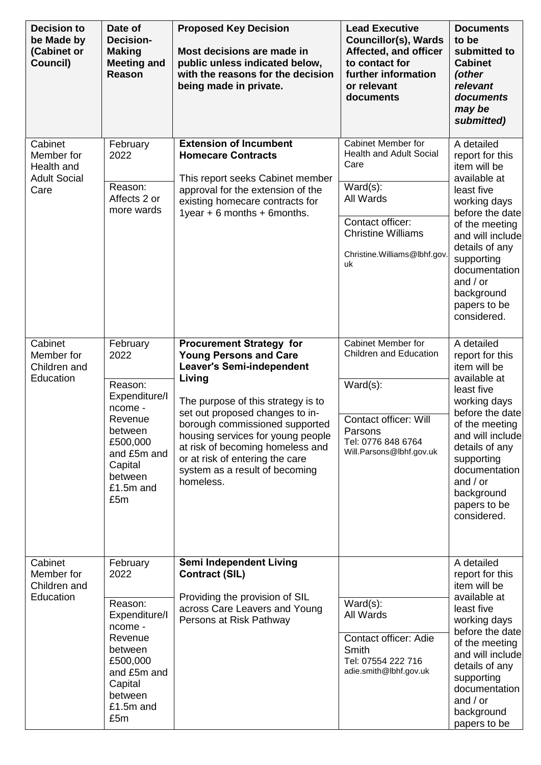| <b>Decision to</b><br>be Made by<br>(Cabinet or<br>Council)        | Date of<br><b>Decision-</b><br><b>Making</b><br><b>Meeting and</b><br>Reason                                                                       | <b>Proposed Key Decision</b><br>Most decisions are made in<br>public unless indicated below,<br>with the reasons for the decision<br>being made in private.                                                                                                                                                                                                                          | <b>Lead Executive</b><br><b>Councillor(s), Wards</b><br>Affected, and officer<br>to contact for<br>further information<br>or relevant<br>documents                                  | <b>Documents</b><br>to be<br>submitted to<br><b>Cabinet</b><br>(other<br>relevant<br>documents<br>may be<br>submitted)                                                                                                                                           |
|--------------------------------------------------------------------|----------------------------------------------------------------------------------------------------------------------------------------------------|--------------------------------------------------------------------------------------------------------------------------------------------------------------------------------------------------------------------------------------------------------------------------------------------------------------------------------------------------------------------------------------|-------------------------------------------------------------------------------------------------------------------------------------------------------------------------------------|------------------------------------------------------------------------------------------------------------------------------------------------------------------------------------------------------------------------------------------------------------------|
| Cabinet<br>Member for<br>Health and<br><b>Adult Social</b><br>Care | February<br>2022<br>Reason:<br>Affects 2 or<br>more wards                                                                                          | <b>Extension of Incumbent</b><br><b>Homecare Contracts</b><br>This report seeks Cabinet member<br>approval for the extension of the<br>existing homecare contracts for<br>1year $+ 6$ months $+ 6$ months.                                                                                                                                                                           | <b>Cabinet Member for</b><br><b>Health and Adult Social</b><br>Care<br>Ward(s):<br>All Wards<br>Contact officer:<br><b>Christine Williams</b><br>Christine.Williams@lbhf.gov.<br>uk | A detailed<br>report for this<br>item will be<br>available at<br>least five<br>working days<br>before the date<br>of the meeting<br>and will include<br>details of any<br>supporting<br>documentation<br>and $/$ or<br>background<br>papers to be<br>considered. |
| Cabinet<br>Member for<br>Children and<br>Education                 | February<br>2022<br>Reason:<br>Expenditure/I<br>ncome -<br>Revenue<br>between<br>£500,000<br>and £5m and<br>Capital<br>between<br>£1.5m and<br>£5m | <b>Procurement Strategy for</b><br><b>Young Persons and Care</b><br><b>Leaver's Semi-independent</b><br>Living<br>The purpose of this strategy is to<br>set out proposed changes to in-<br>borough commissioned supported<br>housing services for young people<br>at risk of becoming homeless and<br>or at risk of entering the care<br>system as a result of becoming<br>homeless. | Cabinet Member for<br><b>Children and Education</b><br>$Ward(s)$ :<br><b>Contact officer: Will</b><br>Parsons<br>Tel: 0776 848 6764<br>Will.Parsons@lbhf.gov.uk                     | A detailed<br>report for this<br>item will be<br>available at<br>least five<br>working days<br>before the date<br>of the meeting<br>and will include<br>details of any<br>supporting<br>documentation<br>and $/$ or<br>background<br>papers to be<br>considered. |
| Cabinet<br>Member for<br>Children and<br>Education                 | February<br>2022<br>Reason:<br>Expenditure/I<br>ncome -<br>Revenue<br>between<br>£500,000<br>and £5m and<br>Capital<br>between<br>£1.5m and<br>£5m | Semi Independent Living<br><b>Contract (SIL)</b><br>Providing the provision of SIL<br>across Care Leavers and Young<br>Persons at Risk Pathway                                                                                                                                                                                                                                       | $Ward(s)$ :<br>All Wards<br>Contact officer: Adie<br>Smith<br>Tel: 07554 222 716<br>adie.smith@lbhf.gov.uk                                                                          | A detailed<br>report for this<br>item will be<br>available at<br>least five<br>working days<br>before the date<br>of the meeting<br>and will include<br>details of any<br>supporting<br>documentation<br>and $/$ or<br>background<br>papers to be                |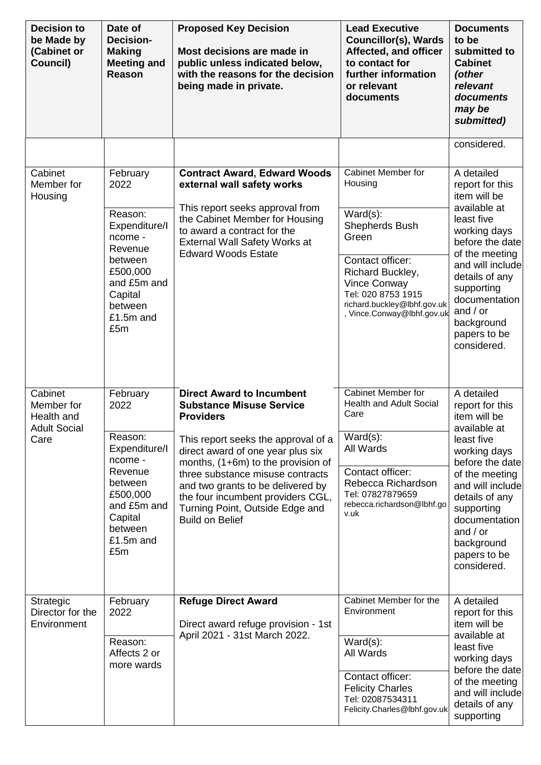| <b>Decision to</b><br>be Made by<br>(Cabinet or<br>Council) | Date of<br><b>Decision-</b><br><b>Making</b><br><b>Meeting and</b><br>Reason                                                   | <b>Proposed Key Decision</b><br>Most decisions are made in<br>public unless indicated below,<br>with the reasons for the decision<br>being made in private.                                                                                                                                 | <b>Lead Executive</b><br><b>Councillor(s), Wards</b><br>Affected, and officer<br>to contact for<br>further information<br>or relevant<br>documents      | <b>Documents</b><br>to be<br>submitted to<br><b>Cabinet</b><br>(other<br>relevant<br>documents<br>may be<br>submitted)                                                                                          |
|-------------------------------------------------------------|--------------------------------------------------------------------------------------------------------------------------------|---------------------------------------------------------------------------------------------------------------------------------------------------------------------------------------------------------------------------------------------------------------------------------------------|---------------------------------------------------------------------------------------------------------------------------------------------------------|-----------------------------------------------------------------------------------------------------------------------------------------------------------------------------------------------------------------|
|                                                             |                                                                                                                                |                                                                                                                                                                                                                                                                                             |                                                                                                                                                         | considered.                                                                                                                                                                                                     |
| Cabinet<br>Member for<br>Housing                            | February<br>2022<br>Reason:<br>Expenditure/I                                                                                   | <b>Contract Award, Edward Woods</b><br>external wall safety works<br>This report seeks approval from<br>the Cabinet Member for Housing<br>to award a contract for the                                                                                                                       | Cabinet Member for<br>Housing<br>$Ward(s)$ :<br>Shepherds Bush                                                                                          | A detailed<br>report for this<br>item will be<br>available at<br>least five<br>working days                                                                                                                     |
|                                                             | ncome -<br>Revenue<br>between<br>£500,000<br>and £5m and<br>Capital<br>between<br>£1.5m and<br>£5m                             | <b>External Wall Safety Works at</b><br><b>Edward Woods Estate</b>                                                                                                                                                                                                                          | Green<br>Contact officer:<br>Richard Buckley,<br><b>Vince Conway</b><br>Tel: 020 8753 1915<br>richard.buckley@lbhf.gov.uk<br>, Vince.Conway@lbhf.gov.uk | before the date<br>of the meeting<br>and will include<br>details of any<br>supporting<br>documentation<br>and $/$ or<br>background<br>papers to be<br>considered.                                               |
| Cabinet<br>Member for<br>Health and                         | February<br>2022                                                                                                               | <b>Direct Award to Incumbent</b><br><b>Substance Misuse Service</b><br><b>Providers</b>                                                                                                                                                                                                     | <b>Cabinet Member for</b><br><b>Health and Adult Social</b><br>Care                                                                                     | A detailed<br>report for this<br>item will be                                                                                                                                                                   |
| <b>Adult Social</b><br>Care                                 | Reason:<br>Expenditure/I<br>ncome -<br>Revenue<br>between<br>£500,000<br>and £5m and<br>Capital<br>between<br>£1.5m and<br>£5m | This report seeks the approval of a<br>direct award of one year plus six<br>months, $(1+6m)$ to the provision of<br>three substance misuse contracts<br>and two grants to be delivered by<br>the four incumbent providers CGL,<br>Turning Point, Outside Edge and<br><b>Build on Belief</b> | $Ward(s)$ :<br>All Wards<br>Contact officer:<br>Rebecca Richardson<br>Tel: 07827879659<br>rebecca.richardson@lbhf.go<br>v.uk                            | available at<br>least five<br>working days<br>before the date<br>of the meeting<br>and will include<br>details of any<br>supporting<br>documentation<br>and $/$ or<br>background<br>papers to be<br>considered. |
| Strategic<br>Director for the<br>Environment                | February<br>2022                                                                                                               | <b>Refuge Direct Award</b><br>Direct award refuge provision - 1st<br>April 2021 - 31st March 2022.                                                                                                                                                                                          | Cabinet Member for the<br>Environment                                                                                                                   | A detailed<br>report for this<br>item will be<br>available at                                                                                                                                                   |
|                                                             | Reason:<br>Affects 2 or<br>more wards                                                                                          |                                                                                                                                                                                                                                                                                             | $Ward(s)$ :<br>All Wards<br>Contact officer:<br><b>Felicity Charles</b><br>Tel: 02087534311<br>Felicity.Charles@lbhf.gov.uk                             | least five<br>working days<br>before the date<br>of the meeting<br>and will include<br>details of any<br>supporting                                                                                             |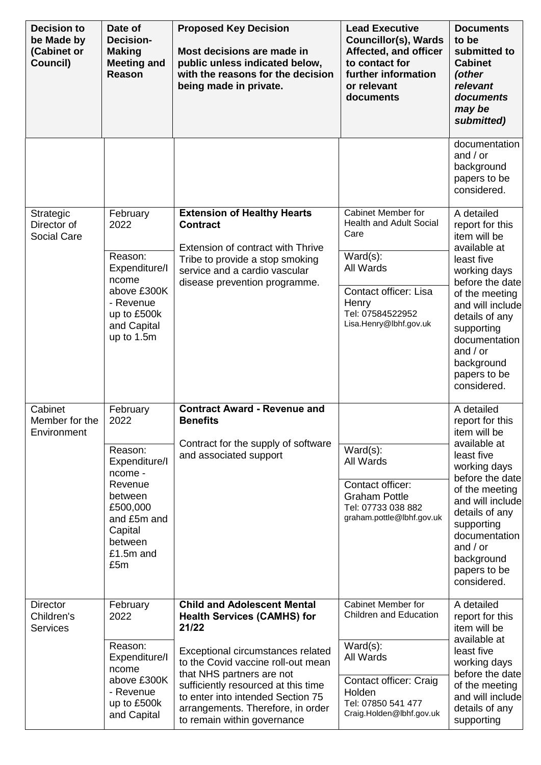| <b>Decision to</b><br>be Made by<br>(Cabinet or<br>Council) | Date of<br><b>Decision-</b><br><b>Making</b><br><b>Meeting and</b><br>Reason                                                                       | <b>Proposed Key Decision</b><br>Most decisions are made in<br>public unless indicated below,<br>with the reasons for the decision<br>being made in private.                                                                                                                                                                               | <b>Lead Executive</b><br><b>Councillor(s), Wards</b><br>Affected, and officer<br>to contact for<br>further information<br>or relevant<br>documents                              | <b>Documents</b><br>to be<br>submitted to<br><b>Cabinet</b><br>(other<br>relevant<br>documents<br>may be<br>submitted)                                                                                                                                           |
|-------------------------------------------------------------|----------------------------------------------------------------------------------------------------------------------------------------------------|-------------------------------------------------------------------------------------------------------------------------------------------------------------------------------------------------------------------------------------------------------------------------------------------------------------------------------------------|---------------------------------------------------------------------------------------------------------------------------------------------------------------------------------|------------------------------------------------------------------------------------------------------------------------------------------------------------------------------------------------------------------------------------------------------------------|
|                                                             |                                                                                                                                                    |                                                                                                                                                                                                                                                                                                                                           |                                                                                                                                                                                 | documentation<br>and $/$ or<br>background<br>papers to be<br>considered.                                                                                                                                                                                         |
| Strategic<br>Director of<br>Social Care                     | February<br>2022<br>Reason:<br>Expenditure/I<br>ncome<br>above £300K<br>- Revenue<br>up to £500k<br>and Capital<br>up to 1.5m                      | <b>Extension of Healthy Hearts</b><br><b>Contract</b><br>Extension of contract with Thrive<br>Tribe to provide a stop smoking<br>service and a cardio vascular<br>disease prevention programme.                                                                                                                                           | Cabinet Member for<br><b>Health and Adult Social</b><br>Care<br>$Ward(s)$ :<br>All Wards<br><b>Contact officer: Lisa</b><br>Henry<br>Tel: 07584522952<br>Lisa.Henry@lbhf.gov.uk | A detailed<br>report for this<br>item will be<br>available at<br>least five<br>working days<br>before the date<br>of the meeting<br>and will include<br>details of any<br>supporting<br>documentation<br>and $/$ or<br>background<br>papers to be<br>considered. |
| Cabinet<br>Member for the<br>Environment                    | February<br>2022<br>Reason:<br>Expenditure/I<br>ncome -<br>Revenue<br>between<br>£500,000<br>and £5m and<br>Capital<br>between<br>£1.5m and<br>£5m | <b>Contract Award - Revenue and</b><br><b>Benefits</b><br>Contract for the supply of software<br>and associated support                                                                                                                                                                                                                   | $Ward(s)$ :<br>All Wards<br>Contact officer:<br><b>Graham Pottle</b><br>Tel: 07733 038 882<br>graham.pottle@lbhf.gov.uk                                                         | A detailed<br>report for this<br>item will be<br>available at<br>least five<br>working days<br>before the date<br>of the meeting<br>and will include<br>details of any<br>supporting<br>documentation<br>and $/$ or<br>background<br>papers to be<br>considered. |
| <b>Director</b><br>Children's<br><b>Services</b>            | February<br>2022<br>Reason:<br>Expenditure/I<br>ncome<br>above £300K<br>- Revenue<br>up to £500k<br>and Capital                                    | <b>Child and Adolescent Mental</b><br><b>Health Services (CAMHS) for</b><br>21/22<br>Exceptional circumstances related<br>to the Covid vaccine roll-out mean<br>that NHS partners are not<br>sufficiently resourced at this time<br>to enter into intended Section 75<br>arrangements. Therefore, in order<br>to remain within governance | Cabinet Member for<br><b>Children and Education</b><br>$Ward(s)$ :<br>All Wards<br>Contact officer: Craig<br>Holden<br>Tel: 07850 541 477<br>Craig.Holden@lbhf.gov.uk           | A detailed<br>report for this<br>item will be<br>available at<br>least five<br>working days<br>before the date<br>of the meeting<br>and will include<br>details of any<br>supporting                                                                             |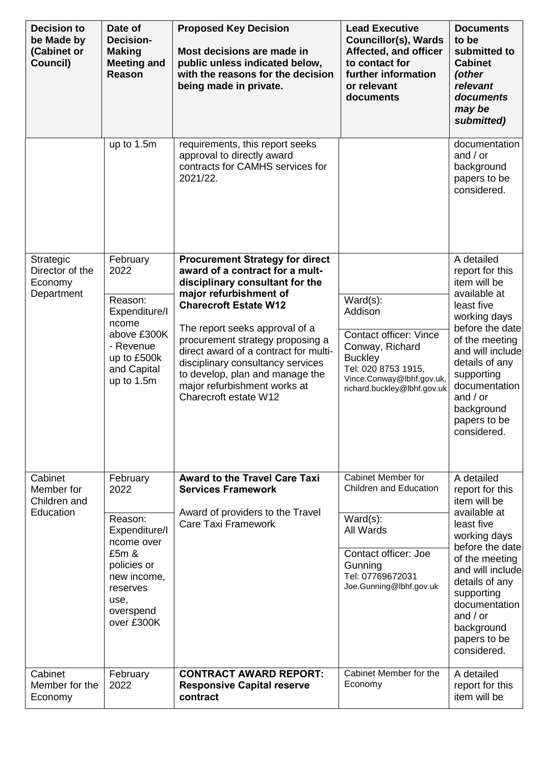| <b>Decision to</b><br>be Made by<br>(Cabinet or<br>Council) | Date of<br><b>Decision-</b><br><b>Making</b><br><b>Meeting and</b><br>Reason                                                                     | <b>Proposed Key Decision</b><br>Most decisions are made in<br>public unless indicated below,<br>with the reasons for the decision<br>being made in private.                                                                                                                                                                                                                                                            | <b>Lead Executive</b><br><b>Councillor(s), Wards</b><br>Affected, and officer<br>to contact for<br>further information<br>or relevant<br>documents                              | <b>Documents</b><br>to be<br>submitted to<br><b>Cabinet</b><br>(other<br>relevant<br>documents<br>may be<br>submitted)                                                                                                                                           |
|-------------------------------------------------------------|--------------------------------------------------------------------------------------------------------------------------------------------------|------------------------------------------------------------------------------------------------------------------------------------------------------------------------------------------------------------------------------------------------------------------------------------------------------------------------------------------------------------------------------------------------------------------------|---------------------------------------------------------------------------------------------------------------------------------------------------------------------------------|------------------------------------------------------------------------------------------------------------------------------------------------------------------------------------------------------------------------------------------------------------------|
|                                                             | up to 1.5m                                                                                                                                       | requirements, this report seeks<br>approval to directly award<br>contracts for CAMHS services for<br>2021/22.                                                                                                                                                                                                                                                                                                          |                                                                                                                                                                                 | documentation<br>and $/$ or<br>background<br>papers to be<br>considered.                                                                                                                                                                                         |
| Strategic<br>Director of the<br>Economy<br>Department       | February<br>2022<br>Reason:<br>Expenditure/I<br>ncome<br>above £300K<br>- Revenue<br>up to £500k<br>and Capital<br>up to 1.5m                    | <b>Procurement Strategy for direct</b><br>award of a contract for a mult-<br>disciplinary consultant for the<br>major refurbishment of<br><b>Charecroft Estate W12</b><br>The report seeks approval of a<br>procurement strategy proposing a<br>direct award of a contract for multi-<br>disciplinary consultancy services<br>to develop, plan and manage the<br>major refurbishment works at<br>Charecroft estate W12 | $Ward(s)$ :<br>Addison<br><b>Contact officer: Vince</b><br>Conway, Richard<br><b>Buckley</b><br>Tel: 020 8753 1915,<br>Vince.Conway@lbhf.gov.uk,<br>richard.buckley@lbhf.gov.uk | A detailed<br>report for this<br>item will be<br>available at<br>least five<br>working days<br>before the date<br>of the meeting<br>and will include<br>details of any<br>supporting<br>documentation<br>and $/$ or<br>background<br>papers to be<br>considered. |
| Cabinet<br>Member for<br>Children and<br>Education          | February<br>2022<br>Reason:<br>Expenditure/I<br>ncome over<br>£5m &<br>policies or<br>new income,<br>reserves<br>use,<br>overspend<br>over £300K | <b>Award to the Travel Care Taxi</b><br><b>Services Framework</b><br>Award of providers to the Travel<br><b>Care Taxi Framework</b>                                                                                                                                                                                                                                                                                    | Cabinet Member for<br><b>Children and Education</b><br>$Ward(s)$ :<br>All Wards<br>Contact officer: Joe<br>Gunning<br>Tel: 07769672031<br>Joe.Gunning@lbhf.gov.uk               | A detailed<br>report for this<br>item will be<br>available at<br>least five<br>working days<br>before the date<br>of the meeting<br>and will include<br>details of any<br>supporting<br>documentation<br>and $/$ or<br>background<br>papers to be<br>considered. |
| Cabinet<br>Member for the<br>Economy                        | February<br>2022                                                                                                                                 | <b>CONTRACT AWARD REPORT:</b><br><b>Responsive Capital reserve</b><br>contract                                                                                                                                                                                                                                                                                                                                         | Cabinet Member for the<br>Economy                                                                                                                                               | A detailed<br>report for this<br>item will be                                                                                                                                                                                                                    |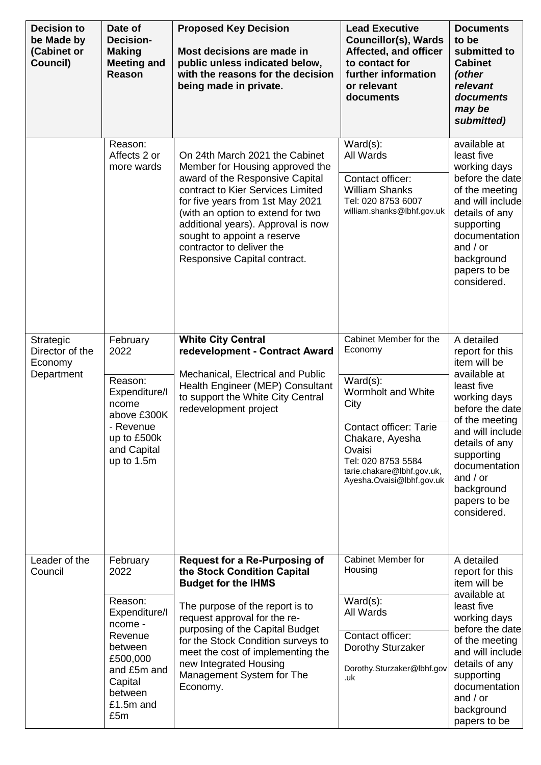| <b>Decision to</b><br>be Made by<br>(Cabinet or<br>Council) | Date of<br><b>Decision-</b><br><b>Making</b><br><b>Meeting and</b><br>Reason                                                                       | <b>Proposed Key Decision</b><br>Most decisions are made in<br>public unless indicated below,<br>with the reasons for the decision<br>being made in private.                                                                                                                                                                                           | <b>Lead Executive</b><br><b>Councillor(s), Wards</b><br>Affected, and officer<br>to contact for<br>further information<br>or relevant<br>documents                                                                            | <b>Documents</b><br>to be<br>submitted to<br><b>Cabinet</b><br>(other<br>relevant<br>documents<br>may be<br>submitted)                                                                                                                                           |
|-------------------------------------------------------------|----------------------------------------------------------------------------------------------------------------------------------------------------|-------------------------------------------------------------------------------------------------------------------------------------------------------------------------------------------------------------------------------------------------------------------------------------------------------------------------------------------------------|-------------------------------------------------------------------------------------------------------------------------------------------------------------------------------------------------------------------------------|------------------------------------------------------------------------------------------------------------------------------------------------------------------------------------------------------------------------------------------------------------------|
|                                                             | Reason:<br>Affects 2 or<br>more wards                                                                                                              | On 24th March 2021 the Cabinet<br>Member for Housing approved the<br>award of the Responsive Capital<br>contract to Kier Services Limited<br>for five years from 1st May 2021<br>(with an option to extend for two<br>additional years). Approval is now<br>sought to appoint a reserve<br>contractor to deliver the<br>Responsive Capital contract.  | $Ward(s)$ :<br>All Wards<br>Contact officer:<br><b>William Shanks</b><br>Tel: 020 8753 6007<br>william.shanks@lbhf.gov.uk                                                                                                     | available at<br>least five<br>working days<br>before the date<br>of the meeting<br>and will include<br>details of any<br>supporting<br>documentation<br>and $/$ or<br>background<br>papers to be<br>considered.                                                  |
| Strategic<br>Director of the<br>Economy<br>Department       | February<br>2022<br>Reason:<br>Expenditure/I<br>ncome<br>above £300K<br>- Revenue<br>up to £500k<br>and Capital<br>up to 1.5m                      | <b>White City Central</b><br>redevelopment - Contract Award<br>Mechanical, Electrical and Public<br>Health Engineer (MEP) Consultant<br>to support the White City Central<br>redevelopment project                                                                                                                                                    | Cabinet Member for the<br>Economy<br>$Ward(s)$ :<br>Wormholt and White<br>City<br><b>Contact officer: Tarie</b><br>Chakare, Ayesha<br>Ovaisi<br>Tel: 020 8753 5584<br>tarie.chakare@lbhf.gov.uk,<br>Ayesha.Ovaisi@lbhf.gov.uk | A detailed<br>report for this<br>item will be<br>available at<br>least five<br>working days<br>before the date<br>of the meeting<br>and will include<br>details of any<br>supporting<br>documentation<br>and $/$ or<br>background<br>papers to be<br>considered. |
| Leader of the<br>Council                                    | February<br>2022<br>Reason:<br>Expenditure/I<br>ncome -<br>Revenue<br>between<br>£500,000<br>and £5m and<br>Capital<br>between<br>£1.5m and<br>£5m | <b>Request for a Re-Purposing of</b><br>the Stock Condition Capital<br><b>Budget for the IHMS</b><br>The purpose of the report is to<br>request approval for the re-<br>purposing of the Capital Budget<br>for the Stock Condition surveys to<br>meet the cost of implementing the<br>new Integrated Housing<br>Management System for The<br>Economy. | Cabinet Member for<br>Housing<br>$Ward(s)$ :<br>All Wards<br>Contact officer:<br>Dorothy Sturzaker<br>Dorothy.Sturzaker@lbhf.gov<br>.uk                                                                                       | A detailed<br>report for this<br>item will be<br>available at<br>least five<br>working days<br>before the date<br>of the meeting<br>and will include<br>details of any<br>supporting<br>documentation<br>and $/$ or<br>background<br>papers to be                |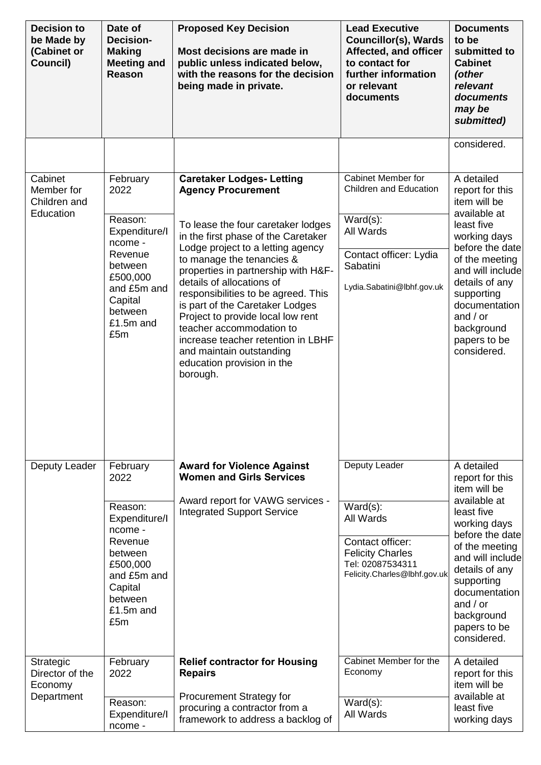| <b>Decision to</b><br>be Made by<br>(Cabinet or<br>Council)  | Date of<br><b>Decision-</b><br><b>Making</b><br><b>Meeting and</b><br>Reason                                                                       | <b>Proposed Key Decision</b><br>Most decisions are made in<br>public unless indicated below,<br>with the reasons for the decision<br>being made in private.                                                                                                                                                                                                                                                                                                                                                                             | <b>Lead Executive</b><br><b>Councillor(s), Wards</b><br>Affected, and officer<br>to contact for<br>further information<br>or relevant<br>documents  | <b>Documents</b><br>to be<br>submitted to<br><b>Cabinet</b><br>(other<br>relevant<br>documents<br>may be<br>submitted)                                                                                                                                           |
|--------------------------------------------------------------|----------------------------------------------------------------------------------------------------------------------------------------------------|-----------------------------------------------------------------------------------------------------------------------------------------------------------------------------------------------------------------------------------------------------------------------------------------------------------------------------------------------------------------------------------------------------------------------------------------------------------------------------------------------------------------------------------------|-----------------------------------------------------------------------------------------------------------------------------------------------------|------------------------------------------------------------------------------------------------------------------------------------------------------------------------------------------------------------------------------------------------------------------|
|                                                              |                                                                                                                                                    |                                                                                                                                                                                                                                                                                                                                                                                                                                                                                                                                         |                                                                                                                                                     | considered.                                                                                                                                                                                                                                                      |
| Cabinet<br>Member for<br>Children and<br>Education           | February<br>2022<br>Reason:<br>Expenditure/I<br>ncome -<br>Revenue<br>between<br>£500,000<br>and £5m and<br>Capital<br>between<br>£1.5m and<br>£5m | <b>Caretaker Lodges- Letting</b><br><b>Agency Procurement</b><br>To lease the four caretaker lodges<br>in the first phase of the Caretaker<br>Lodge project to a letting agency<br>to manage the tenancies &<br>properties in partnership with H&F-<br>details of allocations of<br>responsibilities to be agreed. This<br>is part of the Caretaker Lodges<br>Project to provide local low rent<br>teacher accommodation to<br>increase teacher retention in LBHF<br>and maintain outstanding<br>education provision in the<br>borough. | Cabinet Member for<br><b>Children and Education</b><br>$Ward(s)$ :<br>All Wards<br>Contact officer: Lydia<br>Sabatini<br>Lydia.Sabatini@lbhf.gov.uk | A detailed<br>report for this<br>item will be<br>available at<br>least five<br>working days<br>before the date<br>of the meeting<br>and will include<br>details of any<br>supporting<br>documentation<br>and $/$ or<br>background<br>papers to be<br>considered. |
| Deputy Leader                                                | February<br>2022<br>Reason:<br>Expenditure/I<br>ncome -<br>Revenue<br>between<br>£500,000<br>and £5m and<br>Capital<br>between<br>£1.5m and<br>£5m | <b>Award for Violence Against</b><br><b>Women and Girls Services</b><br>Award report for VAWG services -<br><b>Integrated Support Service</b>                                                                                                                                                                                                                                                                                                                                                                                           | Deputy Leader<br>$Ward(s)$ :<br>All Wards<br>Contact officer:<br><b>Felicity Charles</b><br>Tel: 02087534311<br>Felicity.Charles@lbhf.gov.uk        | A detailed<br>report for this<br>item will be<br>available at<br>least five<br>working days<br>before the date<br>of the meeting<br>and will include<br>details of any<br>supporting<br>documentation<br>and $/$ or<br>background<br>papers to be<br>considered. |
| <b>Strategic</b><br>Director of the<br>Economy<br>Department | February<br>2022<br>Reason:<br>Expenditure/I<br>ncome -                                                                                            | <b>Relief contractor for Housing</b><br><b>Repairs</b><br><b>Procurement Strategy for</b><br>procuring a contractor from a<br>framework to address a backlog of                                                                                                                                                                                                                                                                                                                                                                         | Cabinet Member for the<br>Economy<br>$Ward(s)$ :<br>All Wards                                                                                       | A detailed<br>report for this<br>item will be<br>available at<br>least five<br>working days                                                                                                                                                                      |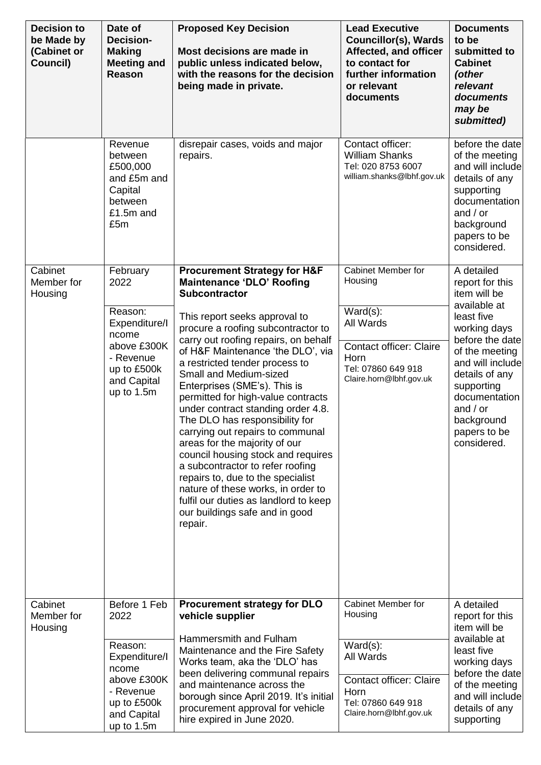| <b>Decision to</b><br>be Made by<br>(Cabinet or<br>Council) | Date of<br><b>Decision-</b><br><b>Making</b><br><b>Meeting and</b><br><b>Reason</b>                       | <b>Proposed Key Decision</b><br>Most decisions are made in<br>public unless indicated below,<br>with the reasons for the decision<br>being made in private.                                                                                                                                                                                                                                                                                                                                                                                                 | <b>Lead Executive</b><br><b>Councillor(s), Wards</b><br>Affected, and officer<br>to contact for<br>further information<br>or relevant<br>documents | <b>Documents</b><br>to be<br>submitted to<br><b>Cabinet</b><br>(other<br>relevant<br>documents<br>may be<br>submitted)                                            |
|-------------------------------------------------------------|-----------------------------------------------------------------------------------------------------------|-------------------------------------------------------------------------------------------------------------------------------------------------------------------------------------------------------------------------------------------------------------------------------------------------------------------------------------------------------------------------------------------------------------------------------------------------------------------------------------------------------------------------------------------------------------|----------------------------------------------------------------------------------------------------------------------------------------------------|-------------------------------------------------------------------------------------------------------------------------------------------------------------------|
|                                                             | Revenue<br>between<br>£500,000<br>and £5m and<br>Capital<br>between<br>£1.5m and<br>£5m                   | disrepair cases, voids and major<br>repairs.                                                                                                                                                                                                                                                                                                                                                                                                                                                                                                                | Contact officer:<br><b>William Shanks</b><br>Tel: 020 8753 6007<br>william.shanks@lbhf.gov.uk                                                      | before the date<br>of the meeting<br>and will include<br>details of any<br>supporting<br>documentation<br>and $/$ or<br>background<br>papers to be<br>considered. |
| Cabinet<br>Member for<br>Housing                            | February<br>2022                                                                                          | <b>Procurement Strategy for H&amp;F</b><br>Maintenance 'DLO' Roofing<br><b>Subcontractor</b>                                                                                                                                                                                                                                                                                                                                                                                                                                                                | Cabinet Member for<br>Housing                                                                                                                      | A detailed<br>report for this<br>item will be                                                                                                                     |
|                                                             | Reason:<br>Expenditure/I<br>ncome                                                                         | This report seeks approval to<br>procure a roofing subcontractor to<br>carry out roofing repairs, on behalf                                                                                                                                                                                                                                                                                                                                                                                                                                                 | $Ward(s)$ :<br>All Wards                                                                                                                           | available at<br>least five<br>working days<br>before the date                                                                                                     |
| Cabinet                                                     | above £300K<br>- Revenue<br>up to £500k<br>and Capital<br>up to 1.5m<br>Before 1 Feb                      | of H&F Maintenance 'the DLO', via<br>a restricted tender process to<br>Small and Medium-sized<br>Enterprises (SME's). This is<br>permitted for high-value contracts<br>under contract standing order 4.8.<br>The DLO has responsibility for<br>carrying out repairs to communal<br>areas for the majority of our<br>council housing stock and requires<br>a subcontractor to refer roofing<br>repairs to, due to the specialist<br>nature of these works, in order to<br>fulfil our duties as landlord to keep<br>our buildings safe and in good<br>repair. | <b>Contact officer: Claire</b><br>Horn<br>Tel: 07860 649 918<br>Claire.horn@lbhf.gov.uk<br>Cabinet Member for                                      | of the meeting<br>and will include<br>details of any<br>supporting<br>documentation<br>and $/$ or<br>background<br>papers to be<br>considered.<br>A detailed      |
| Member for<br>Housing                                       | 2022                                                                                                      | <b>Procurement strategy for DLO</b><br>vehicle supplier                                                                                                                                                                                                                                                                                                                                                                                                                                                                                                     | Housing                                                                                                                                            | report for this<br>item will be                                                                                                                                   |
|                                                             | Reason:<br>Expenditure/I<br>ncome<br>above £300K<br>- Revenue<br>up to £500k<br>and Capital<br>up to 1.5m | Hammersmith and Fulham<br>Maintenance and the Fire Safety<br>Works team, aka the 'DLO' has<br>been delivering communal repairs<br>and maintenance across the<br>borough since April 2019. It's initial<br>procurement approval for vehicle<br>hire expired in June 2020.                                                                                                                                                                                                                                                                                    | $Ward(s)$ :<br>All Wards<br><b>Contact officer: Claire</b><br>Horn<br>Tel: 07860 649 918<br>Claire.horn@lbhf.gov.uk                                | available at<br>least five<br>working days<br>before the date<br>of the meeting<br>and will include<br>details of any<br>supporting                               |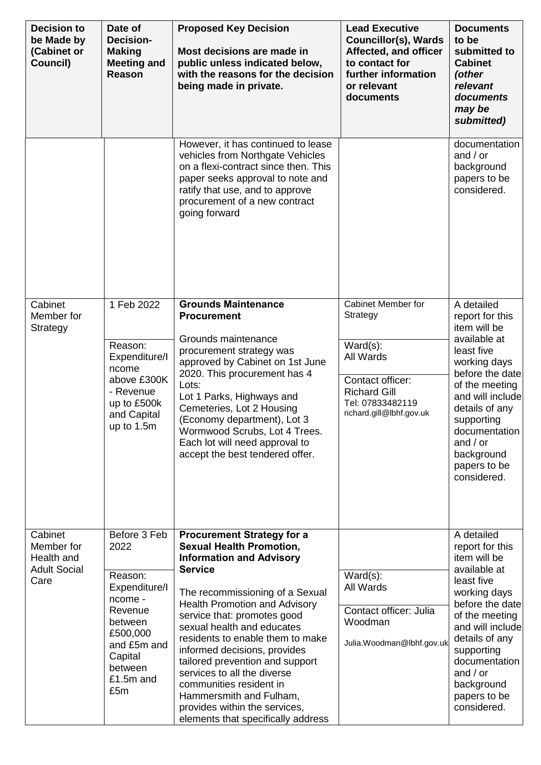| <b>Decision to</b><br>be Made by<br>(Cabinet or<br>Council)        | Date of<br><b>Decision-</b><br><b>Making</b><br><b>Meeting and</b><br>Reason                                                                           | <b>Proposed Key Decision</b><br>Most decisions are made in<br>public unless indicated below,<br>with the reasons for the decision<br>being made in private.                                                                                                                                                                                                                                                                                                                                                                          | <b>Lead Executive</b><br><b>Councillor(s), Wards</b><br>Affected, and officer<br>to contact for<br>further information<br>or relevant<br>documents           | <b>Documents</b><br>to be<br>submitted to<br><b>Cabinet</b><br>(other<br>relevant<br>documents<br>may be<br>submitted)                                                                                                                                           |
|--------------------------------------------------------------------|--------------------------------------------------------------------------------------------------------------------------------------------------------|--------------------------------------------------------------------------------------------------------------------------------------------------------------------------------------------------------------------------------------------------------------------------------------------------------------------------------------------------------------------------------------------------------------------------------------------------------------------------------------------------------------------------------------|--------------------------------------------------------------------------------------------------------------------------------------------------------------|------------------------------------------------------------------------------------------------------------------------------------------------------------------------------------------------------------------------------------------------------------------|
|                                                                    |                                                                                                                                                        | However, it has continued to lease<br>vehicles from Northgate Vehicles<br>on a flexi-contract since then. This<br>paper seeks approval to note and<br>ratify that use, and to approve<br>procurement of a new contract<br>going forward                                                                                                                                                                                                                                                                                              |                                                                                                                                                              | documentation<br>and $/$ or<br>background<br>papers to be<br>considered.                                                                                                                                                                                         |
| Cabinet<br>Member for<br>Strategy                                  | 1 Feb 2022<br>Reason:<br>Expenditure/I<br>ncome<br>above £300K<br>- Revenue<br>up to £500k<br>and Capital<br>up to 1.5m                                | <b>Grounds Maintenance</b><br><b>Procurement</b><br>Grounds maintenance<br>procurement strategy was<br>approved by Cabinet on 1st June<br>2020. This procurement has 4<br>Lots:<br>Lot 1 Parks, Highways and<br>Cemeteries, Lot 2 Housing<br>(Economy department), Lot 3<br>Wormwood Scrubs, Lot 4 Trees.<br>Each lot will need approval to<br>accept the best tendered offer.                                                                                                                                                       | <b>Cabinet Member for</b><br>Strategy<br>$Ward(s)$ :<br>All Wards<br>Contact officer:<br><b>Richard Gill</b><br>Tel: 07833482119<br>richard.gill@lbhf.gov.uk | A detailed<br>report for this<br>item will be<br>available at<br>least five<br>working days<br>before the date<br>of the meeting<br>and will include<br>details of any<br>supporting<br>documentation<br>and $/$ or<br>background<br>papers to be<br>considered. |
| Cabinet<br>Member for<br>Health and<br><b>Adult Social</b><br>Care | Before 3 Feb<br>2022<br>Reason:<br>Expenditure/I<br>ncome -<br>Revenue<br>between<br>£500,000<br>and £5m and<br>Capital<br>between<br>£1.5m and<br>£5m | <b>Procurement Strategy for a</b><br><b>Sexual Health Promotion,</b><br><b>Information and Advisory</b><br><b>Service</b><br>The recommissioning of a Sexual<br><b>Health Promotion and Advisory</b><br>service that: promotes good<br>sexual health and educates<br>residents to enable them to make<br>informed decisions, provides<br>tailored prevention and support<br>services to all the diverse<br>communities resident in<br>Hammersmith and Fulham,<br>provides within the services,<br>elements that specifically address | $Ward(s)$ :<br>All Wards<br>Contact officer: Julia<br>Woodman<br>Julia.Woodman@lbhf.gov.uk                                                                   | A detailed<br>report for this<br>item will be<br>available at<br>least five<br>working days<br>before the date<br>of the meeting<br>and will include<br>details of any<br>supporting<br>documentation<br>and $/$ or<br>background<br>papers to be<br>considered. |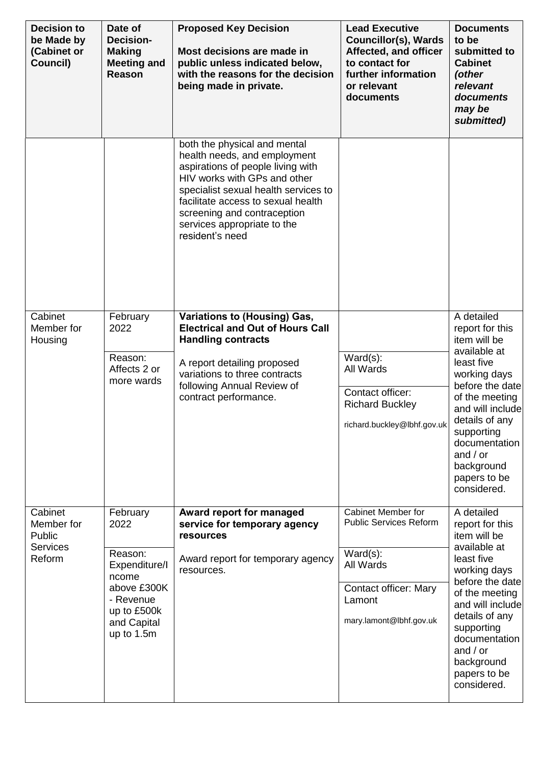| <b>Decision to</b><br>be Made by<br>(Cabinet or<br>Council) | Date of<br><b>Decision-</b><br><b>Making</b><br><b>Meeting and</b><br>Reason                                      | <b>Proposed Key Decision</b><br>Most decisions are made in<br>public unless indicated below,<br>with the reasons for the decision<br>being made in private.                                                                                                                                      | <b>Lead Executive</b><br><b>Councillor(s), Wards</b><br>Affected, and officer<br>to contact for<br>further information<br>or relevant<br>documents | <b>Documents</b><br>to be<br>submitted to<br><b>Cabinet</b><br>(other<br>relevant<br>documents<br>may be<br>submitted)                                                                                                                                                         |
|-------------------------------------------------------------|-------------------------------------------------------------------------------------------------------------------|--------------------------------------------------------------------------------------------------------------------------------------------------------------------------------------------------------------------------------------------------------------------------------------------------|----------------------------------------------------------------------------------------------------------------------------------------------------|--------------------------------------------------------------------------------------------------------------------------------------------------------------------------------------------------------------------------------------------------------------------------------|
|                                                             |                                                                                                                   | both the physical and mental<br>health needs, and employment<br>aspirations of people living with<br>HIV works with GPs and other<br>specialist sexual health services to<br>facilitate access to sexual health<br>screening and contraception<br>services appropriate to the<br>resident's need |                                                                                                                                                    |                                                                                                                                                                                                                                                                                |
| Cabinet<br>Member for<br>Housing<br>Cabinet                 | February<br>2022<br>Reason:<br>Affects 2 or<br>more wards<br>February                                             | <b>Variations to (Housing) Gas,</b><br><b>Electrical and Out of Hours Call</b><br><b>Handling contracts</b><br>A report detailing proposed<br>variations to three contracts<br>following Annual Review of<br>contract performance.<br>Award report for managed                                   | $Ward(s)$ :<br>All Wards<br>Contact officer:<br><b>Richard Buckley</b><br>richard.buckley@lbhf.gov.uk<br>Cabinet Member for                        | A detailed<br>report for this<br>item will be<br>available at<br>least five<br>working days<br>before the date<br>of the meeting<br>and will include<br>details of any<br>supporting<br>documentation<br>and $/$ or<br>background<br>papers to be<br>considered.<br>A detailed |
| Member for<br>Public<br><b>Services</b><br>Reform           | 2022<br>Reason:<br>Expenditure/I<br>ncome<br>above £300K<br>- Revenue<br>up to £500k<br>and Capital<br>up to 1.5m | service for temporary agency<br>resources<br>Award report for temporary agency<br>resources.                                                                                                                                                                                                     | <b>Public Services Reform</b><br>$Ward(s)$ :<br>All Wards<br>Contact officer: Mary<br>Lamont<br>mary.lamont@lbhf.gov.uk                            | report for this<br>item will be<br>available at<br>least five<br>working days<br>before the date<br>of the meeting<br>and will include<br>details of any<br>supporting<br>documentation<br>and $/$ or<br>background<br>papers to be<br>considered.                             |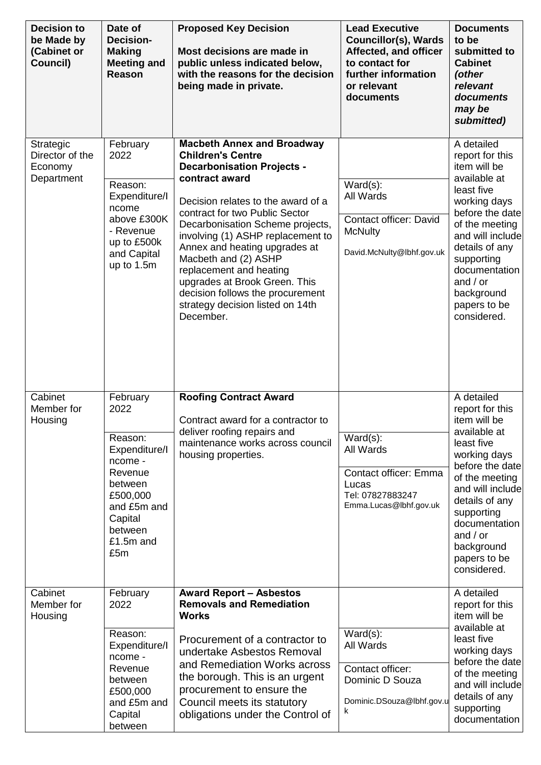| <b>Decision to</b><br>be Made by<br>(Cabinet or<br>Council) | Date of<br><b>Decision-</b><br><b>Making</b><br><b>Meeting and</b><br><b>Reason</b>                                                                | <b>Proposed Key Decision</b><br>Most decisions are made in<br>public unless indicated below,<br>with the reasons for the decision<br>being made in private.                                                                                                                                                                                                                                                                                                                     | <b>Lead Executive</b><br><b>Councillor(s), Wards</b><br>Affected, and officer<br>to contact for<br>further information<br>or relevant<br>documents | <b>Documents</b><br>to be<br>submitted to<br><b>Cabinet</b><br>(other<br>relevant<br>documents<br>may be<br>submitted)                                                                                                                                            |
|-------------------------------------------------------------|----------------------------------------------------------------------------------------------------------------------------------------------------|---------------------------------------------------------------------------------------------------------------------------------------------------------------------------------------------------------------------------------------------------------------------------------------------------------------------------------------------------------------------------------------------------------------------------------------------------------------------------------|----------------------------------------------------------------------------------------------------------------------------------------------------|-------------------------------------------------------------------------------------------------------------------------------------------------------------------------------------------------------------------------------------------------------------------|
| Strategic<br>Director of the<br>Economy<br>Department       | February<br>2022<br>Reason:<br>Expenditure/I<br>ncome<br>above £300K<br>- Revenue<br>up to £500k<br>and Capital<br>up to 1.5m                      | <b>Macbeth Annex and Broadway</b><br><b>Children's Centre</b><br><b>Decarbonisation Projects -</b><br>contract award<br>Decision relates to the award of a<br>contract for two Public Sector<br>Decarbonisation Scheme projects,<br>involving (1) ASHP replacement to<br>Annex and heating upgrades at<br>Macbeth and (2) ASHP<br>replacement and heating<br>upgrades at Brook Green. This<br>decision follows the procurement<br>strategy decision listed on 14th<br>December. | $Ward(s)$ :<br>All Wards<br><b>Contact officer: David</b><br><b>McNulty</b><br>David.McNulty@lbhf.gov.uk                                           | A detailed<br>report for this<br>item will be<br>available at<br>least five<br>working days<br>before the datel<br>of the meeting<br>and will include<br>details of any<br>supporting<br>documentation<br>and $/$ or<br>background<br>papers to be<br>considered. |
| Cabinet<br>Member for<br>Housing                            | February<br>2022<br>Reason:<br>Expenditure/I<br>ncome -<br>Revenue<br>between<br>£500,000<br>and £5m and<br>Capital<br>between<br>£1.5m and<br>£5m | <b>Roofing Contract Award</b><br>Contract award for a contractor to<br>deliver roofing repairs and<br>maintenance works across council<br>housing properties.                                                                                                                                                                                                                                                                                                                   | $Ward(s)$ :<br>All Wards<br><b>Contact officer: Emma</b><br>Lucas<br>Tel: 07827883247<br>Emma.Lucas@lbhf.gov.uk                                    | A detailed<br>report for this<br>item will be<br>available at<br>least five<br>working days<br>before the date<br>of the meeting<br>and will include<br>details of any<br>supporting<br>documentation<br>and $/$ or<br>background<br>papers to be<br>considered.  |
| Cabinet<br>Member for<br>Housing                            | February<br>2022<br>Reason:<br>Expenditure/I<br>ncome -<br>Revenue<br>between<br>£500,000<br>and £5m and<br>Capital<br>between                     | <b>Award Report - Asbestos</b><br><b>Removals and Remediation</b><br><b>Works</b><br>Procurement of a contractor to<br>undertake Asbestos Removal<br>and Remediation Works across<br>the borough. This is an urgent<br>procurement to ensure the<br>Council meets its statutory<br>obligations under the Control of                                                                                                                                                             | $Ward(s)$ :<br>All Wards<br>Contact officer:<br>Dominic D Souza<br>Dominic.DSouza@lbhf.gov.u<br>k                                                  | A detailed<br>report for this<br>item will be<br>available at<br>least five<br>working days<br>before the date<br>of the meeting<br>and will include<br>details of any<br>supporting<br>documentation                                                             |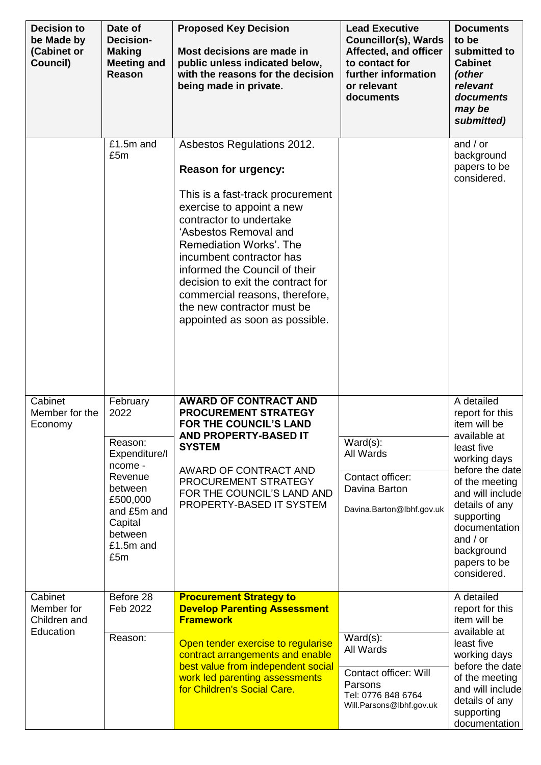| <b>Decision to</b><br>be Made by<br>(Cabinet or<br>Council) | Date of<br><b>Decision-</b><br><b>Making</b><br><b>Meeting and</b><br>Reason                                                                       | <b>Proposed Key Decision</b><br>Most decisions are made in<br>public unless indicated below,<br>with the reasons for the decision<br>being made in private.                                                                                                                                                                                                                                                  | <b>Lead Executive</b><br><b>Councillor(s), Wards</b><br>Affected, and officer<br>to contact for<br>further information<br>or relevant<br>documents | <b>Documents</b><br>to be<br>submitted to<br><b>Cabinet</b><br>(other<br>relevant<br>documents<br>may be<br>submitted)                                                                                                                                           |
|-------------------------------------------------------------|----------------------------------------------------------------------------------------------------------------------------------------------------|--------------------------------------------------------------------------------------------------------------------------------------------------------------------------------------------------------------------------------------------------------------------------------------------------------------------------------------------------------------------------------------------------------------|----------------------------------------------------------------------------------------------------------------------------------------------------|------------------------------------------------------------------------------------------------------------------------------------------------------------------------------------------------------------------------------------------------------------------|
|                                                             | £1.5m and<br>£5m                                                                                                                                   | Asbestos Regulations 2012.<br><b>Reason for urgency:</b><br>This is a fast-track procurement<br>exercise to appoint a new<br>contractor to undertake<br>'Asbestos Removal and<br>Remediation Works'. The<br>incumbent contractor has<br>informed the Council of their<br>decision to exit the contract for<br>commercial reasons, therefore,<br>the new contractor must be<br>appointed as soon as possible. |                                                                                                                                                    | and $/$ or<br>background<br>papers to be<br>considered.                                                                                                                                                                                                          |
| Cabinet<br>Member for the<br>Economy                        | February<br>2022<br>Reason:<br>Expenditure/I<br>ncome -<br>Revenue<br>between<br>£500,000<br>and £5m and<br>Capital<br>between<br>£1.5m and<br>£5m | <b>AWARD OF CONTRACT AND</b><br><b>PROCUREMENT STRATEGY</b><br><b>FOR THE COUNCIL'S LAND</b><br>AND PROPERTY-BASED IT<br><b>SYSTEM</b><br>AWARD OF CONTRACT AND<br>PROCUREMENT STRATEGY<br>FOR THE COUNCIL'S LAND AND<br>PROPERTY-BASED IT SYSTEM                                                                                                                                                            | $Ward(s)$ :<br>All Wards<br>Contact officer:<br>Davina Barton<br>Davina.Barton@lbhf.gov.uk                                                         | A detailed<br>report for this<br>item will be<br>available at<br>least five<br>working days<br>before the date<br>of the meeting<br>and will include<br>details of any<br>supporting<br>documentation<br>and $/$ or<br>background<br>papers to be<br>considered. |
| Cabinet<br>Member for<br>Children and<br>Education          | Before 28<br>Feb 2022<br>Reason:                                                                                                                   | <b>Procurement Strategy to</b><br><b>Develop Parenting Assessment</b><br><b>Framework</b><br>Open tender exercise to regularise<br>contract arrangements and enable<br>best value from independent social<br>work led parenting assessments<br>for Children's Social Care.                                                                                                                                   | $Ward(s)$ :<br>All Wards<br><b>Contact officer: Will</b><br>Parsons<br>Tel: 0776 848 6764<br>Will.Parsons@lbhf.gov.uk                              | A detailed<br>report for this<br>item will be<br>available at<br>least five<br>working days<br>before the date<br>of the meeting<br>and will include<br>details of any<br>supporting<br>documentation                                                            |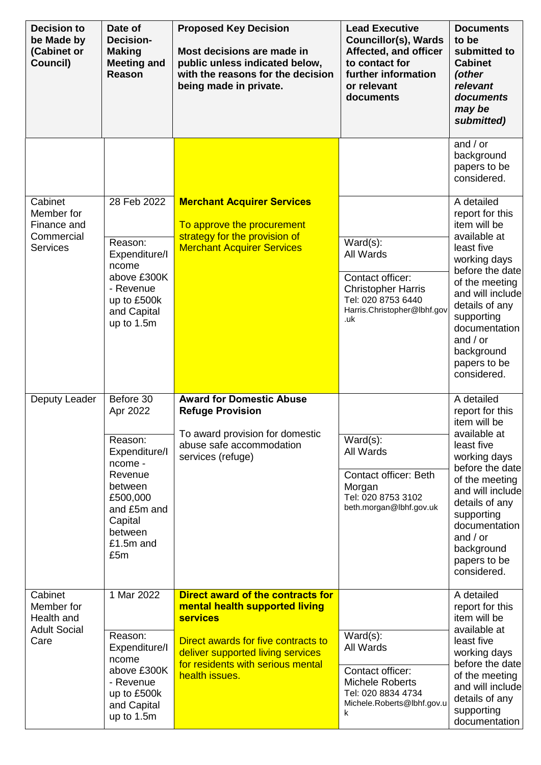| <b>Decision to</b><br>be Made by<br>(Cabinet or<br>Council) | Date of<br><b>Decision-</b><br><b>Making</b><br><b>Meeting and</b><br>Reason                                                   | <b>Proposed Key Decision</b><br>Most decisions are made in<br>public unless indicated below,<br>with the reasons for the decision<br>being made in private. | <b>Lead Executive</b><br><b>Councillor(s), Wards</b><br>Affected, and officer<br>to contact for<br>further information<br>or relevant<br>documents | <b>Documents</b><br>to be<br>submitted to<br><b>Cabinet</b><br>(other<br>relevant<br>documents<br>may be<br>submitted)                                                                                          |
|-------------------------------------------------------------|--------------------------------------------------------------------------------------------------------------------------------|-------------------------------------------------------------------------------------------------------------------------------------------------------------|----------------------------------------------------------------------------------------------------------------------------------------------------|-----------------------------------------------------------------------------------------------------------------------------------------------------------------------------------------------------------------|
|                                                             |                                                                                                                                |                                                                                                                                                             |                                                                                                                                                    | and $/$ or<br>background<br>papers to be<br>considered.                                                                                                                                                         |
| Cabinet<br>Member for<br>Finance and                        | 28 Feb 2022                                                                                                                    | <b>Merchant Acquirer Services</b><br>To approve the procurement                                                                                             |                                                                                                                                                    | A detailed<br>report for this<br>item will be                                                                                                                                                                   |
| Commercial<br><b>Services</b>                               | Reason:<br>Expenditure/I<br>ncome<br>above £300K<br>- Revenue<br>up to £500k<br>and Capital<br>up to 1.5m                      | strategy for the provision of<br><b>Merchant Acquirer Services</b>                                                                                          | $Ward(s)$ :<br>All Wards<br>Contact officer:<br><b>Christopher Harris</b><br>Tel: 020 8753 6440<br>Harris.Christopher@lbhf.gov<br>.uk              | available at<br>least five<br>working days<br>before the date<br>of the meeting<br>and will include<br>details of any<br>supporting<br>documentation<br>and $/$ or<br>background<br>papers to be<br>considered. |
| Deputy Leader                                               | Before 30<br>Apr 2022                                                                                                          | <b>Award for Domestic Abuse</b><br><b>Refuge Provision</b>                                                                                                  |                                                                                                                                                    | A detailed<br>report for this<br>item will be                                                                                                                                                                   |
|                                                             | Reason:<br>Expenditure/I<br>ncome -<br>Revenue<br>between<br>£500,000<br>and £5m and<br>Capital<br>between<br>£1.5m and<br>£5m | To award provision for domestic<br>abuse safe accommodation<br>services (refuge)                                                                            | $Ward(s)$ :<br>All Wards<br><b>Contact officer: Beth</b><br>Morgan<br>Tel: 020 8753 3102<br>beth.morgan@lbhf.gov.uk                                | available at<br>least five<br>working days<br>before the date<br>of the meeting<br>and will include<br>details of any<br>supporting<br>documentation<br>and $/$ or<br>background<br>papers to be<br>considered. |
| Cabinet<br>Member for<br>Health and                         | 1 Mar 2022                                                                                                                     | Direct award of the contracts for<br>mental health supported living<br><b>services</b>                                                                      |                                                                                                                                                    | A detailed<br>report for this<br>item will be<br>available at                                                                                                                                                   |
| <b>Adult Social</b><br>Care                                 | Reason:<br>Expenditure/I<br>ncome<br>above £300K<br>- Revenue<br>up to £500k<br>and Capital<br>up to 1.5m                      | Direct awards for five contracts to<br>deliver supported living services<br>for residents with serious mental<br>health issues.                             | $Ward(s)$ :<br>All Wards<br>Contact officer:<br><b>Michele Roberts</b><br>Tel: 020 8834 4734<br>Michele.Roberts@lbhf.gov.u<br>k                    | least five<br>working days<br>before the date<br>of the meeting<br>and will include<br>details of any<br>supporting<br>documentation                                                                            |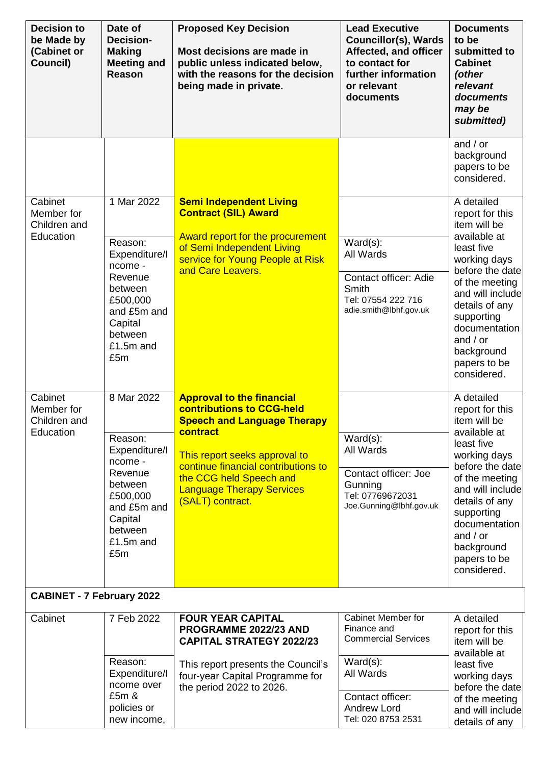| Date of<br><b>Decision-</b><br><b>Making</b><br><b>Meeting and</b><br>Reason                                                                 | <b>Proposed Key Decision</b><br>Most decisions are made in<br>public unless indicated below,<br>with the reasons for the decision<br>being made in private.                                                                                                                       | <b>Lead Executive</b><br><b>Councillor(s), Wards</b><br>Affected, and officer<br>to contact for<br>further information<br>or relevant<br>documents | <b>Documents</b><br>to be<br>submitted to<br><b>Cabinet</b><br>(other<br>relevant<br>documents<br>may be<br>submitted)                                                                                                                                           |
|----------------------------------------------------------------------------------------------------------------------------------------------|-----------------------------------------------------------------------------------------------------------------------------------------------------------------------------------------------------------------------------------------------------------------------------------|----------------------------------------------------------------------------------------------------------------------------------------------------|------------------------------------------------------------------------------------------------------------------------------------------------------------------------------------------------------------------------------------------------------------------|
|                                                                                                                                              |                                                                                                                                                                                                                                                                                   |                                                                                                                                                    | and $/$ or<br>background<br>papers to be<br>considered.                                                                                                                                                                                                          |
| 1 Mar 2022<br>Reason:<br>Expenditure/I<br>ncome -<br>Revenue<br>between<br>£500,000<br>and £5m and<br>Capital<br>between<br>£1.5m and<br>£5m | <b>Semi Independent Living</b><br><b>Contract (SIL) Award</b><br>Award report for the procurement<br>of Semi Independent Living<br>service for Young People at Risk<br>and Care Leavers.                                                                                          | $Ward(s)$ :<br>All Wards<br><b>Contact officer: Adie</b><br>Smith<br>Tel: 07554 222 716<br>adie.smith@lbhf.gov.uk                                  | A detailed<br>report for this<br>item will be<br>available at<br>least five<br>working days<br>before the date<br>of the meeting<br>and will include<br>details of any<br>supporting<br>documentation<br>and $/$ or<br>background<br>papers to be<br>considered. |
| 8 Mar 2022<br>Reason:<br>Expenditure/I<br>ncome -<br>Revenue<br>between<br>£500,000<br>and £5m and<br>Capital<br>between<br>£1.5m and<br>£5m | <b>Approval to the financial</b><br><b>contributions to CCG-held</b><br><b>Speech and Language Therapy</b><br>contract<br>This report seeks approval to<br>continue financial contributions to<br>the CCG held Speech and<br><b>Language Therapy Services</b><br>(SALT) contract. | $Ward(s)$ :<br>All Wards<br>Contact officer: Joe<br>Gunning<br>Tel: 07769672031<br>Joe.Gunning@lbhf.gov.uk                                         | A detailed<br>report for this<br>item will be<br>available at<br>least five<br>working days<br>before the date<br>of the meeting<br>and will include<br>details of any<br>supporting<br>documentation<br>and $/$ or<br>background<br>papers to be<br>considered. |
| <b>CABINET - 7 February 2022</b>                                                                                                             |                                                                                                                                                                                                                                                                                   |                                                                                                                                                    |                                                                                                                                                                                                                                                                  |
| 7 Feb 2022<br>Reason:<br>Expenditure/I<br>ncome over<br>£5m &<br>policies or                                                                 | <b>FOUR YEAR CAPITAL</b><br>PROGRAMME 2022/23 AND<br><b>CAPITAL STRATEGY 2022/23</b><br>This report presents the Council's<br>four-year Capital Programme for<br>the period 2022 to 2026.                                                                                         | <b>Cabinet Member for</b><br>Finance and<br><b>Commercial Services</b><br>$Ward(s)$ :<br>All Wards<br>Contact officer:<br><b>Andrew Lord</b>       | A detailed<br>report for this<br>item will be<br>available at<br>least five<br>working days<br>before the date<br>of the meeting<br>and will include<br>details of any                                                                                           |
|                                                                                                                                              | new income,                                                                                                                                                                                                                                                                       |                                                                                                                                                    | Tel: 020 8753 2531                                                                                                                                                                                                                                               |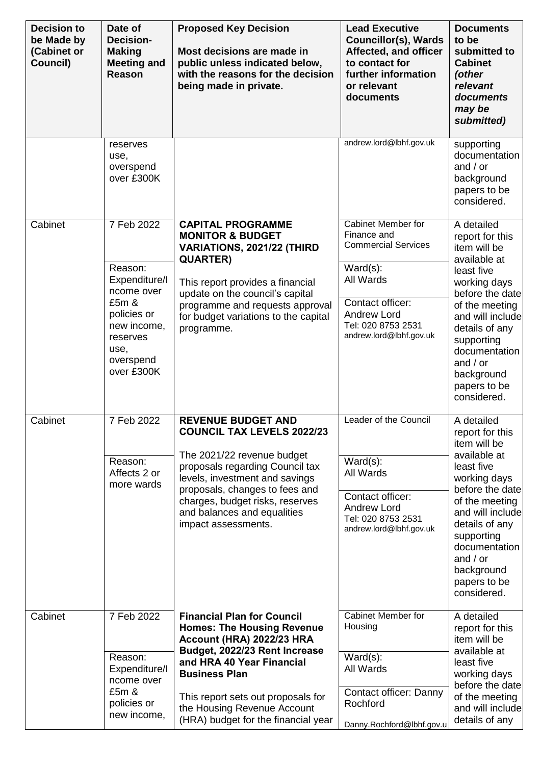| <b>Decision to</b><br>be Made by<br>(Cabinet or<br>Council) | Date of<br><b>Decision-</b><br><b>Making</b><br><b>Meeting and</b><br>Reason                                                               | <b>Proposed Key Decision</b><br>Most decisions are made in<br>public unless indicated below,<br>with the reasons for the decision<br>being made in private.                                                                                                                                           | <b>Lead Executive</b><br><b>Councillor(s), Wards</b><br>Affected, and officer<br>to contact for<br>further information<br>or relevant<br>documents                                            | <b>Documents</b><br>to be<br>submitted to<br><b>Cabinet</b><br>(other<br>relevant<br>documents<br>may be<br>submitted)                                                                                                                                           |
|-------------------------------------------------------------|--------------------------------------------------------------------------------------------------------------------------------------------|-------------------------------------------------------------------------------------------------------------------------------------------------------------------------------------------------------------------------------------------------------------------------------------------------------|-----------------------------------------------------------------------------------------------------------------------------------------------------------------------------------------------|------------------------------------------------------------------------------------------------------------------------------------------------------------------------------------------------------------------------------------------------------------------|
|                                                             | reserves<br>use,<br>overspend<br>over £300K                                                                                                |                                                                                                                                                                                                                                                                                                       | andrew.lord@lbhf.gov.uk                                                                                                                                                                       | supporting<br>documentation<br>and $/$ or<br>background<br>papers to be<br>considered.                                                                                                                                                                           |
| Cabinet                                                     | 7 Feb 2022<br>Reason:<br>Expenditure/I<br>ncome over<br>£5m &<br>policies or<br>new income,<br>reserves<br>use,<br>overspend<br>over £300K | <b>CAPITAL PROGRAMME</b><br><b>MONITOR &amp; BUDGET</b><br>VARIATIONS, 2021/22 (THIRD<br><b>QUARTER)</b><br>This report provides a financial<br>update on the council's capital<br>programme and requests approval<br>for budget variations to the capital<br>programme.                              | <b>Cabinet Member for</b><br>Finance and<br><b>Commercial Services</b><br>$Ward(s)$ :<br>All Wards<br>Contact officer:<br><b>Andrew Lord</b><br>Tel: 020 8753 2531<br>andrew.lord@lbhf.gov.uk | A detailed<br>report for this<br>item will be<br>available at<br>least five<br>working days<br>before the date<br>of the meeting<br>and will include<br>details of any<br>supporting<br>documentation<br>and $/$ or<br>background<br>papers to be<br>considered. |
| Cabinet                                                     | 7 Feb 2022<br>Reason:<br>Affects 2 or<br>more wards                                                                                        | <b>REVENUE BUDGET AND</b><br><b>COUNCIL TAX LEVELS 2022/23</b><br>The 2021/22 revenue budget<br>proposals regarding Council tax<br>levels, investment and savings<br>proposals, changes to fees and<br>charges, budget risks, reserves<br>and balances and equalities<br>impact assessments.          | Leader of the Council<br>$Ward(s)$ :<br>All Wards<br>Contact officer:<br><b>Andrew Lord</b><br>Tel: 020 8753 2531<br>andrew.lord@lbhf.gov.uk                                                  | A detailed<br>report for this<br>item will be<br>available at<br>least five<br>working days<br>before the date<br>of the meeting<br>and will include<br>details of any<br>supporting<br>documentation<br>and $/$ or<br>background<br>papers to be<br>considered. |
| Cabinet                                                     | 7 Feb 2022<br>Reason:<br>Expenditure/I<br>ncome over<br>£5m &<br>policies or<br>new income,                                                | <b>Financial Plan for Council</b><br><b>Homes: The Housing Revenue</b><br>Account (HRA) 2022/23 HRA<br>Budget, 2022/23 Rent Increase<br>and HRA 40 Year Financial<br><b>Business Plan</b><br>This report sets out proposals for<br>the Housing Revenue Account<br>(HRA) budget for the financial year | <b>Cabinet Member for</b><br>Housing<br>$Ward(s)$ :<br>All Wards<br>Contact officer: Danny<br>Rochford<br>Danny.Rochford@lbhf.gov.u                                                           | A detailed<br>report for this<br>item will be<br>available at<br>least five<br>working days<br>before the date<br>of the meeting<br>and will include<br>details of any                                                                                           |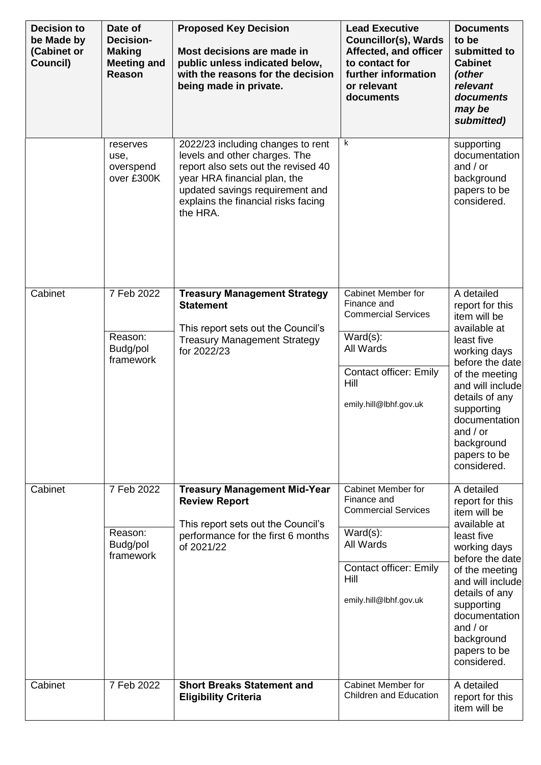| <b>Decision to</b><br>be Made by<br>(Cabinet or<br>Council) | Date of<br><b>Decision-</b><br><b>Making</b><br><b>Meeting and</b><br>Reason | <b>Proposed Key Decision</b><br>Most decisions are made in<br>public unless indicated below,<br>with the reasons for the decision<br>being made in private.                                                                     | <b>Lead Executive</b><br><b>Councillor(s), Wards</b><br>Affected, and officer<br>to contact for<br>further information<br>or relevant<br>documents             | <b>Documents</b><br>to be<br>submitted to<br><b>Cabinet</b><br>(other<br>relevant<br>documents<br>may be<br>submitted)                                                                                                                                           |
|-------------------------------------------------------------|------------------------------------------------------------------------------|---------------------------------------------------------------------------------------------------------------------------------------------------------------------------------------------------------------------------------|----------------------------------------------------------------------------------------------------------------------------------------------------------------|------------------------------------------------------------------------------------------------------------------------------------------------------------------------------------------------------------------------------------------------------------------|
|                                                             | reserves<br>use,<br>overspend<br>over £300K                                  | 2022/23 including changes to rent<br>levels and other charges. The<br>report also sets out the revised 40<br>year HRA financial plan, the<br>updated savings requirement and<br>explains the financial risks facing<br>the HRA. | k                                                                                                                                                              | supporting<br>documentation<br>and $/$ or<br>background<br>papers to be<br>considered.                                                                                                                                                                           |
| Cabinet                                                     | 7 Feb 2022<br>Reason:<br>Budg/pol<br>framework                               | <b>Treasury Management Strategy</b><br><b>Statement</b><br>This report sets out the Council's<br><b>Treasury Management Strategy</b><br>for 2022/23                                                                             | Cabinet Member for<br>Finance and<br><b>Commercial Services</b><br>$Ward(s)$ :<br>All Wards<br><b>Contact officer: Emily</b><br>Hill<br>emily.hill@lbhf.gov.uk | A detailed<br>report for this<br>item will be<br>available at<br>least five<br>working days<br>before the date<br>of the meeting<br>and will include<br>details of any<br>supporting<br>documentation<br>and $/$ or<br>background<br>papers to be<br>considered. |
| Cabinet                                                     | 7 Feb 2022<br>Reason:<br>Budg/pol<br>framework                               | <b>Treasury Management Mid-Year</b><br><b>Review Report</b><br>This report sets out the Council's<br>performance for the first 6 months<br>of 2021/22                                                                           | Cabinet Member for<br>Finance and<br><b>Commercial Services</b><br>$Ward(s)$ :<br>All Wards<br><b>Contact officer: Emily</b><br>Hill<br>emily.hill@lbhf.gov.uk | A detailed<br>report for this<br>item will be<br>available at<br>least five<br>working days<br>before the date<br>of the meeting<br>and will include<br>details of any<br>supporting<br>documentation<br>and $/$ or<br>background<br>papers to be<br>considered. |
| Cabinet                                                     | 7 Feb 2022                                                                   | <b>Short Breaks Statement and</b><br><b>Eligibility Criteria</b>                                                                                                                                                                | Cabinet Member for<br><b>Children and Education</b>                                                                                                            | A detailed<br>report for this<br>item will be                                                                                                                                                                                                                    |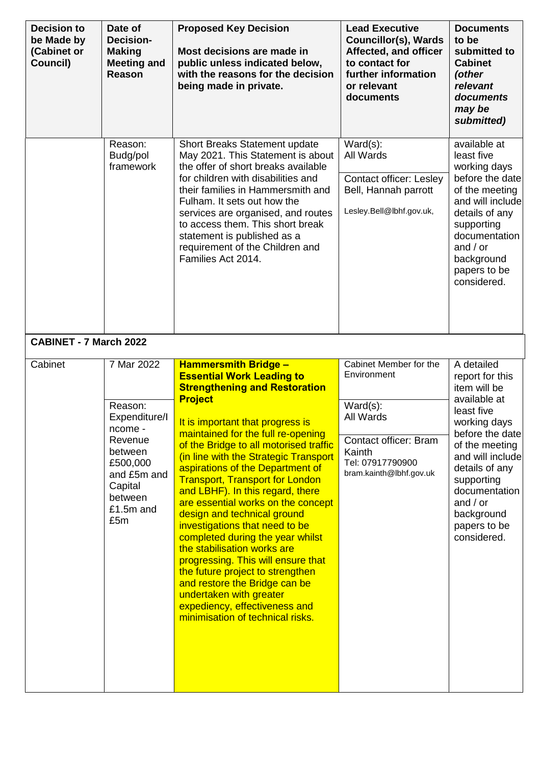| <b>Decision to</b><br>be Made by<br>(Cabinet or<br>Council) | Date of<br><b>Decision-</b><br><b>Making</b><br><b>Meeting and</b><br><b>Reason</b>                                                          | <b>Proposed Key Decision</b><br>Most decisions are made in<br>public unless indicated below,<br>with the reasons for the decision<br>being made in private.                                                                                                                                                                                                                                                                                                                                                                                                                                                                                                                                                                                                                                   | <b>Lead Executive</b><br><b>Councillor(s), Wards</b><br>Affected, and officer<br>to contact for<br>further information<br>or relevant<br>documents  | <b>Documents</b><br>to be<br>submitted to<br><b>Cabinet</b><br>(other<br>relevant<br>documents<br>may be<br>submitted)                                                                                                                                           |
|-------------------------------------------------------------|----------------------------------------------------------------------------------------------------------------------------------------------|-----------------------------------------------------------------------------------------------------------------------------------------------------------------------------------------------------------------------------------------------------------------------------------------------------------------------------------------------------------------------------------------------------------------------------------------------------------------------------------------------------------------------------------------------------------------------------------------------------------------------------------------------------------------------------------------------------------------------------------------------------------------------------------------------|-----------------------------------------------------------------------------------------------------------------------------------------------------|------------------------------------------------------------------------------------------------------------------------------------------------------------------------------------------------------------------------------------------------------------------|
|                                                             | Reason:<br>Budg/pol<br>framework                                                                                                             | Short Breaks Statement update<br>May 2021. This Statement is about<br>the offer of short breaks available<br>for children with disabilities and<br>their families in Hammersmith and<br>Fulham. It sets out how the<br>services are organised, and routes<br>to access them. This short break<br>statement is published as a<br>requirement of the Children and<br>Families Act 2014.                                                                                                                                                                                                                                                                                                                                                                                                         | $Ward(s)$ :<br>All Wards<br><b>Contact officer: Lesley</b><br>Bell, Hannah parrott<br>Lesley.Bell@lbhf.gov.uk,                                      | available at<br>least five<br>working days<br>before the date<br>of the meeting<br>and will include<br>details of any<br>supporting<br>documentation<br>and $/$ or<br>background<br>papers to be<br>considered.                                                  |
| <b>CABINET - 7 March 2022</b>                               |                                                                                                                                              |                                                                                                                                                                                                                                                                                                                                                                                                                                                                                                                                                                                                                                                                                                                                                                                               |                                                                                                                                                     |                                                                                                                                                                                                                                                                  |
| Cabinet                                                     | 7 Mar 2022<br>Reason:<br>Expenditure/I<br>ncome -<br>Revenue<br>between<br>£500,000<br>and £5m and<br>Capital<br>between<br>£1.5m and<br>£5m | <b>Hammersmith Bridge -</b><br><b>Essential Work Leading to</b><br><b>Strengthening and Restoration</b><br><b>Project</b><br>It is important that progress is<br>maintained for the full re-opening<br>of the Bridge to all motorised traffic<br>(in line with the Strategic Transport<br>aspirations of the Department of<br><b>Transport, Transport for London</b><br>and LBHF). In this regard, there<br>are essential works on the concept<br>design and technical ground<br>investigations that need to be<br>completed during the year whilst<br>the stabilisation works are<br>progressing. This will ensure that<br>the future project to strengthen<br>and restore the Bridge can be<br>undertaken with greater<br>expediency, effectiveness and<br>minimisation of technical risks. | Cabinet Member for the<br>Environment<br>$Ward(s)$ :<br>All Wards<br>Contact officer: Bram<br>Kainth<br>Tel: 07917790900<br>bram.kainth@lbhf.gov.uk | A detailed<br>report for this<br>item will be<br>available at<br>least five<br>working days<br>before the date<br>of the meeting<br>and will include<br>details of any<br>supporting<br>documentation<br>and $/$ or<br>background<br>papers to be<br>considered. |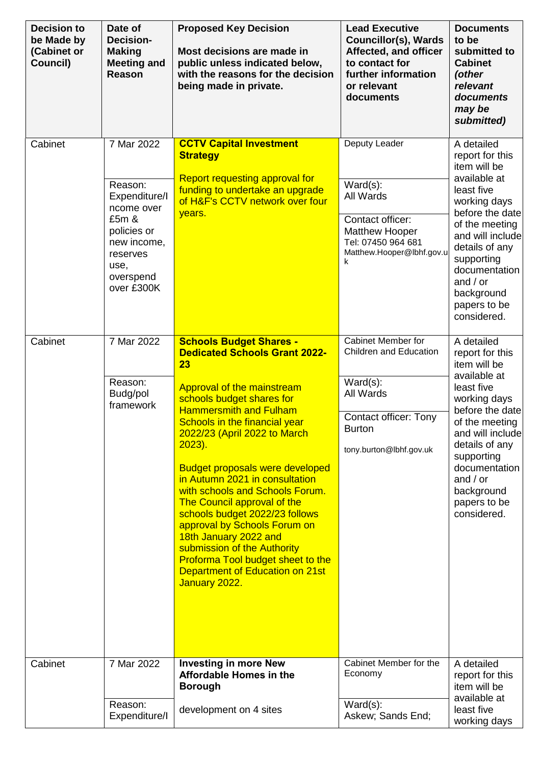| <b>Decision to</b><br>be Made by<br>(Cabinet or<br>Council) | Date of<br><b>Decision-</b><br><b>Making</b><br><b>Meeting and</b><br>Reason                                                               | <b>Proposed Key Decision</b><br>Most decisions are made in<br>public unless indicated below,<br>with the reasons for the decision<br>being made in private.                                                                                                                                                                                                                                                                                                                                                                                                                                                             | <b>Lead Executive</b><br><b>Councillor(s), Wards</b><br>Affected, and officer<br>to contact for<br>further information<br>or relevant<br>documents          | <b>Documents</b><br>to be<br>submitted to<br><b>Cabinet</b><br>(other<br>relevant<br>documents<br>may be<br>submitted)                                                                                                                                           |
|-------------------------------------------------------------|--------------------------------------------------------------------------------------------------------------------------------------------|-------------------------------------------------------------------------------------------------------------------------------------------------------------------------------------------------------------------------------------------------------------------------------------------------------------------------------------------------------------------------------------------------------------------------------------------------------------------------------------------------------------------------------------------------------------------------------------------------------------------------|-------------------------------------------------------------------------------------------------------------------------------------------------------------|------------------------------------------------------------------------------------------------------------------------------------------------------------------------------------------------------------------------------------------------------------------|
| Cabinet                                                     | 7 Mar 2022<br>Reason:<br>Expenditure/I<br>ncome over<br>£5m &<br>policies or<br>new income,<br>reserves<br>use,<br>overspend<br>over £300K | <b>CCTV Capital Investment</b><br><b>Strategy</b><br><b>Report requesting approval for</b><br>funding to undertake an upgrade<br>of H&F's CCTV network over four<br>years.                                                                                                                                                                                                                                                                                                                                                                                                                                              | Deputy Leader<br>$Ward(s)$ :<br>All Wards<br>Contact officer:<br><b>Matthew Hooper</b><br>Tel: 07450 964 681<br>Matthew.Hooper@lbhf.gov.u<br>k              | A detailed<br>report for this<br>item will be<br>available at<br>least five<br>working days<br>before the date<br>of the meeting<br>and will include<br>details of any<br>supporting<br>documentation<br>and $/$ or<br>background<br>papers to be<br>considered. |
| Cabinet                                                     | 7 Mar 2022<br>Reason:<br>Budg/pol<br>framework                                                                                             | <b>Schools Budget Shares -</b><br><b>Dedicated Schools Grant 2022-</b><br>23<br>Approval of the mainstream<br>schools budget shares for<br><b>Hammersmith and Fulham</b><br>Schools in the financial year<br>2022/23 (April 2022 to March<br>$2023$ ).<br><b>Budget proposals were developed</b><br>in Autumn 2021 in consultation<br>with schools and Schools Forum.<br>The Council approval of the<br>schools budget 2022/23 follows<br>approval by Schools Forum on<br>18th January 2022 and<br>submission of the Authority<br>Proforma Tool budget sheet to the<br>Department of Education on 21st<br>January 2022. | <b>Cabinet Member for</b><br>Children and Education<br>$Ward(s)$ :<br>All Wards<br><b>Contact officer: Tony</b><br><b>Burton</b><br>tony.burton@lbhf.gov.uk | A detailed<br>report for this<br>item will be<br>available at<br>least five<br>working days<br>before the date<br>of the meeting<br>and will include<br>details of any<br>supporting<br>documentation<br>and $/$ or<br>background<br>papers to be<br>considered. |
| Cabinet                                                     | 7 Mar 2022<br>Reason:<br>Expenditure/I                                                                                                     | <b>Investing in more New</b><br><b>Affordable Homes in the</b><br><b>Borough</b><br>development on 4 sites                                                                                                                                                                                                                                                                                                                                                                                                                                                                                                              | Cabinet Member for the<br>Economy<br>$Ward(s)$ :<br>Askew; Sands End;                                                                                       | A detailed<br>report for this<br>item will be<br>available at<br>least five<br>working days                                                                                                                                                                      |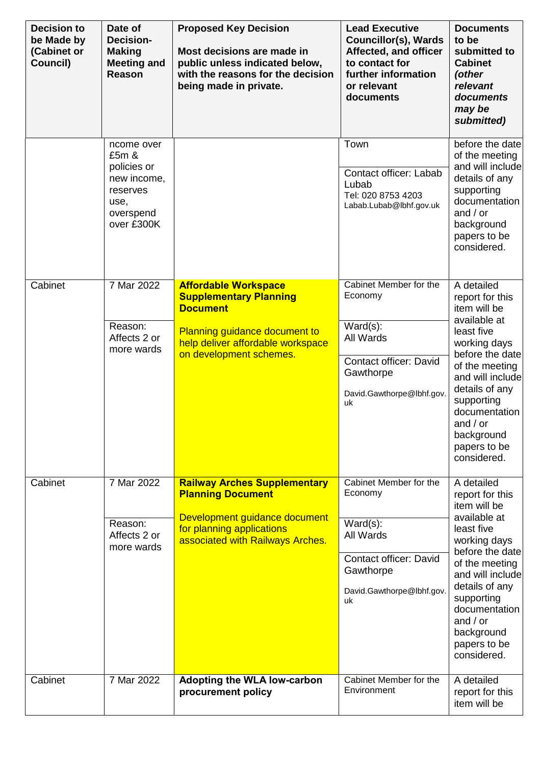| <b>Decision to</b><br>be Made by<br>(Cabinet or<br>Council) | Date of<br><b>Decision-</b><br><b>Making</b><br><b>Meeting and</b><br>Reason                     | <b>Proposed Key Decision</b><br>Most decisions are made in<br>public unless indicated below,<br>with the reasons for the decision<br>being made in private.                             | <b>Lead Executive</b><br><b>Councillor(s), Wards</b><br>Affected, and officer<br>to contact for<br>further information<br>or relevant<br>documents | <b>Documents</b><br>to be<br>submitted to<br><b>Cabinet</b><br>(other<br>relevant<br>documents<br>may be<br>submitted)                                                                                                                                           |
|-------------------------------------------------------------|--------------------------------------------------------------------------------------------------|-----------------------------------------------------------------------------------------------------------------------------------------------------------------------------------------|----------------------------------------------------------------------------------------------------------------------------------------------------|------------------------------------------------------------------------------------------------------------------------------------------------------------------------------------------------------------------------------------------------------------------|
|                                                             | ncome over<br>£5m &<br>policies or<br>new income,<br>reserves<br>use,<br>overspend<br>over £300K |                                                                                                                                                                                         | Town<br>Contact officer: Labab<br>Lubab<br>Tel: 020 8753 4203<br>Labab.Lubab@lbhf.gov.uk                                                           | before the date<br>of the meeting<br>and will include<br>details of any<br>supporting<br>documentation<br>and $/$ or<br>background<br>papers to be<br>considered.                                                                                                |
| Cabinet                                                     | 7 Mar 2022<br>Reason:<br>Affects 2 or<br>more wards                                              | <b>Affordable Workspace</b><br><b>Supplementary Planning</b><br><b>Document</b><br><b>Planning guidance document to</b><br>help deliver affordable workspace<br>on development schemes. | Cabinet Member for the<br>Economy<br>$Ward(s)$ :<br>All Wards<br>Contact officer: David<br>Gawthorpe<br>David.Gawthorpe@lbhf.gov.<br>uk            | A detailed<br>report for this<br>item will be<br>available at<br>least five<br>working days<br>before the date<br>of the meeting<br>and will include<br>details of any<br>supporting<br>documentation<br>and $/$ or<br>background<br>papers to be<br>considered. |
| Cabinet                                                     | 7 Mar 2022<br>Reason:<br>Affects 2 or<br>more wards                                              | <b>Railway Arches Supplementary</b><br><b>Planning Document</b><br>Development guidance document<br>for planning applications<br>associated with Railways Arches.                       | Cabinet Member for the<br>Economy<br>$Ward(s)$ :<br>All Wards<br><b>Contact officer: David</b><br>Gawthorpe<br>David.Gawthorpe@lbhf.gov.<br>uk     | A detailed<br>report for this<br>item will be<br>available at<br>least five<br>working days<br>before the date<br>of the meeting<br>and will include<br>details of any<br>supporting<br>documentation<br>and $/$ or<br>background<br>papers to be<br>considered. |
| Cabinet                                                     | 7 Mar 2022                                                                                       | <b>Adopting the WLA low-carbon</b><br>procurement policy                                                                                                                                | Cabinet Member for the<br>Environment                                                                                                              | A detailed<br>report for this<br>item will be                                                                                                                                                                                                                    |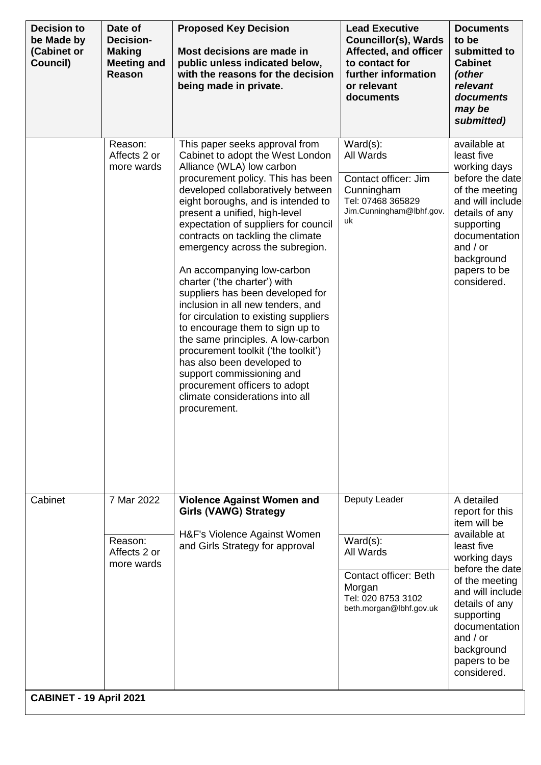| <b>Decision to</b><br>be Made by<br>(Cabinet or<br>Council) | Date of<br>Decision-<br><b>Making</b><br><b>Meeting and</b><br>Reason | <b>Proposed Key Decision</b><br>Most decisions are made in<br>public unless indicated below,<br>with the reasons for the decision<br>being made in private.                                                                                                                                                                                                                                                                                                                                                                                                                                                                                                                                                                                                                                                    | <b>Lead Executive</b><br><b>Councillor(s), Wards</b><br>Affected, and officer<br>to contact for<br>further information<br>or relevant<br>documents | <b>Documents</b><br>to be<br>submitted to<br><b>Cabinet</b><br>(other<br>relevant<br>documents<br>may be<br>submitted)                                                                                                                                           |
|-------------------------------------------------------------|-----------------------------------------------------------------------|----------------------------------------------------------------------------------------------------------------------------------------------------------------------------------------------------------------------------------------------------------------------------------------------------------------------------------------------------------------------------------------------------------------------------------------------------------------------------------------------------------------------------------------------------------------------------------------------------------------------------------------------------------------------------------------------------------------------------------------------------------------------------------------------------------------|----------------------------------------------------------------------------------------------------------------------------------------------------|------------------------------------------------------------------------------------------------------------------------------------------------------------------------------------------------------------------------------------------------------------------|
|                                                             | Reason:<br>Affects 2 or<br>more wards                                 | This paper seeks approval from<br>Cabinet to adopt the West London<br>Alliance (WLA) low carbon<br>procurement policy. This has been<br>developed collaboratively between<br>eight boroughs, and is intended to<br>present a unified, high-level<br>expectation of suppliers for council<br>contracts on tackling the climate<br>emergency across the subregion.<br>An accompanying low-carbon<br>charter ('the charter') with<br>suppliers has been developed for<br>inclusion in all new tenders, and<br>for circulation to existing suppliers<br>to encourage them to sign up to<br>the same principles. A low-carbon<br>procurement toolkit ('the toolkit')<br>has also been developed to<br>support commissioning and<br>procurement officers to adopt<br>climate considerations into all<br>procurement. | $Ward(s)$ :<br>All Wards<br>Contact officer: Jim<br>Cunningham<br>Tel: 07468 365829<br>Jim.Cunningham@lbhf.gov.<br>uk                              | available at<br>least five<br>working days<br>before the date<br>of the meeting<br>and will include<br>details of any<br>supporting<br>documentation<br>and $/$ or<br>background<br>papers to be<br>considered.                                                  |
| Cabinet<br>CABINET - 19 April 2021                          | 7 Mar 2022<br>Reason:<br>Affects 2 or<br>more wards                   | <b>Violence Against Women and</b><br><b>Girls (VAWG) Strategy</b><br>H&F's Violence Against Women<br>and Girls Strategy for approval                                                                                                                                                                                                                                                                                                                                                                                                                                                                                                                                                                                                                                                                           | Deputy Leader<br>$Ward(s)$ :<br>All Wards<br><b>Contact officer: Beth</b><br>Morgan<br>Tel: 020 8753 3102<br>beth.morgan@lbhf.gov.uk               | A detailed<br>report for this<br>item will be<br>available at<br>least five<br>working days<br>before the date<br>of the meeting<br>and will include<br>details of any<br>supporting<br>documentation<br>and $/$ or<br>background<br>papers to be<br>considered. |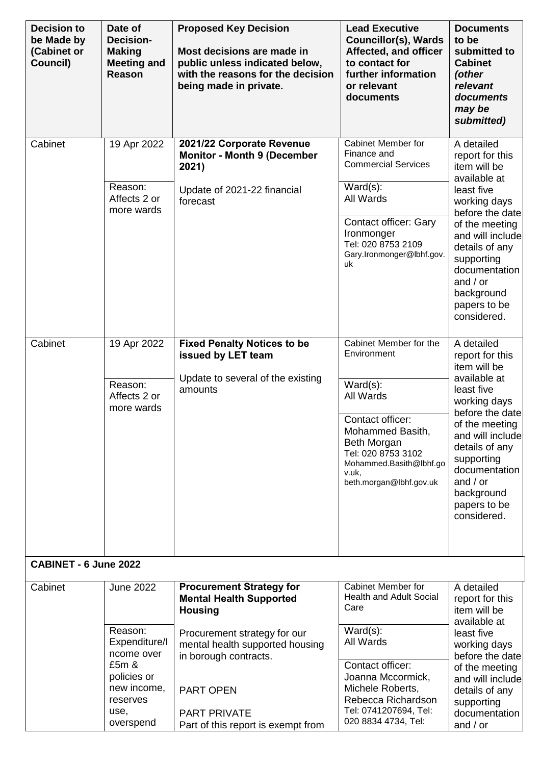| <b>Decision to</b><br>be Made by<br>(Cabinet or<br>Council) | Date of<br>Decision-<br><b>Making</b><br><b>Meeting and</b><br>Reason | <b>Proposed Key Decision</b><br>Most decisions are made in<br>public unless indicated below,<br>with the reasons for the decision<br>being made in private. | <b>Lead Executive</b><br><b>Councillor(s), Wards</b><br>Affected, and officer<br>to contact for<br>further information<br>or relevant<br>documents | <b>Documents</b><br>to be<br>submitted to<br><b>Cabinet</b><br>(other<br>relevant<br>documents<br>may be<br>submitted)                                            |
|-------------------------------------------------------------|-----------------------------------------------------------------------|-------------------------------------------------------------------------------------------------------------------------------------------------------------|----------------------------------------------------------------------------------------------------------------------------------------------------|-------------------------------------------------------------------------------------------------------------------------------------------------------------------|
| Cabinet                                                     | 19 Apr 2022                                                           | 2021/22 Corporate Revenue<br><b>Monitor - Month 9 (December</b><br>2021)                                                                                    | <b>Cabinet Member for</b><br>Finance and<br><b>Commercial Services</b>                                                                             | A detailed<br>report for this<br>item will be                                                                                                                     |
|                                                             | Reason:<br>Affects 2 or<br>more wards                                 | Update of 2021-22 financial<br>forecast                                                                                                                     | $Ward(s)$ :<br>All Wards                                                                                                                           | available at<br>least five<br>working days<br>before the date                                                                                                     |
|                                                             |                                                                       |                                                                                                                                                             | Contact officer: Gary<br>Ironmonger<br>Tel: 020 8753 2109<br>Gary.Ironmonger@lbhf.gov.<br>uk                                                       | of the meeting<br>and will include<br>details of any<br>supporting<br>documentation<br>and $/$ or<br>background<br>papers to be<br>considered.                    |
| Cabinet                                                     | 19 Apr 2022                                                           | <b>Fixed Penalty Notices to be</b><br>issued by LET team                                                                                                    | Cabinet Member for the<br>Environment                                                                                                              | A detailed<br>report for this<br>item will be                                                                                                                     |
|                                                             | Reason:<br>Affects 2 or<br>more wards                                 | Update to several of the existing<br>amounts                                                                                                                | $Ward(s)$ :<br>All Wards                                                                                                                           | available at<br>least five<br>working days                                                                                                                        |
|                                                             |                                                                       |                                                                                                                                                             | Contact officer:<br>Mohammed Basith,<br><b>Beth Morgan</b><br>Tel: 020 8753 3102<br>Mohammed.Basith@lbhf.go<br>v.uk,<br>beth.morgan@lbhf.gov.uk    | before the date<br>of the meeting<br>and will include<br>details of any<br>supporting<br>documentation<br>and $/$ or<br>background<br>papers to be<br>considered. |
| CABINET - 6 June 2022                                       |                                                                       |                                                                                                                                                             |                                                                                                                                                    |                                                                                                                                                                   |
| Cabinet                                                     | <b>June 2022</b>                                                      | <b>Procurement Strategy for</b><br><b>Mental Health Supported</b><br><b>Housing</b>                                                                         | Cabinet Member for<br><b>Health and Adult Social</b><br>Care                                                                                       | A detailed<br>report for this<br>item will be<br>available at                                                                                                     |
|                                                             | Reason:<br>Expenditure/I<br>ncome over<br>£5m &                       | Procurement strategy for our<br>mental health supported housing<br>in borough contracts.                                                                    | $Ward(s)$ :<br>All Wards<br>Contact officer:                                                                                                       | least five<br>working days<br>before the date<br>of the meeting                                                                                                   |
|                                                             | policies or<br>new income,<br>reserves                                | <b>PART OPEN</b>                                                                                                                                            | Joanna Mccormick,<br>Michele Roberts,<br>Rebecca Richardson                                                                                        | and will include<br>details of any<br>supporting                                                                                                                  |
|                                                             | use,<br>overspend                                                     | <b>PART PRIVATE</b><br>Part of this report is exempt from                                                                                                   | Tel: 0741207694, Tel:<br>020 8834 4734, Tel:                                                                                                       | documentation<br>and $/$ or                                                                                                                                       |